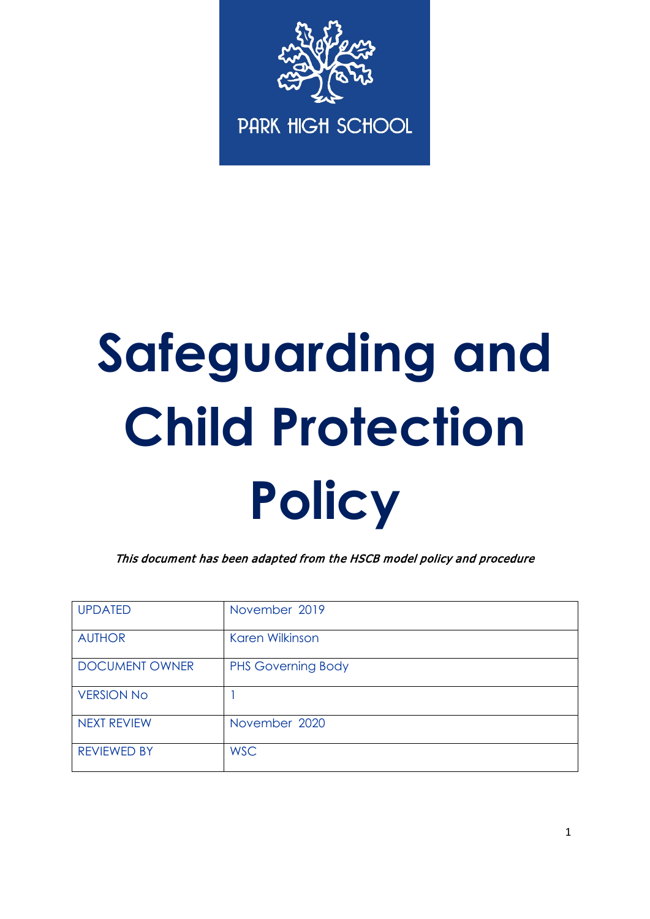

# **Safeguarding and Child Protection Policy**

This document has been adapted from the HSCB model policy and procedure

| <b>UPDATED</b>        | November 2019             |  |  |
|-----------------------|---------------------------|--|--|
| <b>AUTHOR</b>         | Karen Wilkinson           |  |  |
| <b>DOCUMENT OWNER</b> | <b>PHS Governing Body</b> |  |  |
| <b>VERSION No</b>     |                           |  |  |
| <b>NEXT REVIEW</b>    | November 2020             |  |  |
| <b>REVIEWED BY</b>    | <b>WSC</b>                |  |  |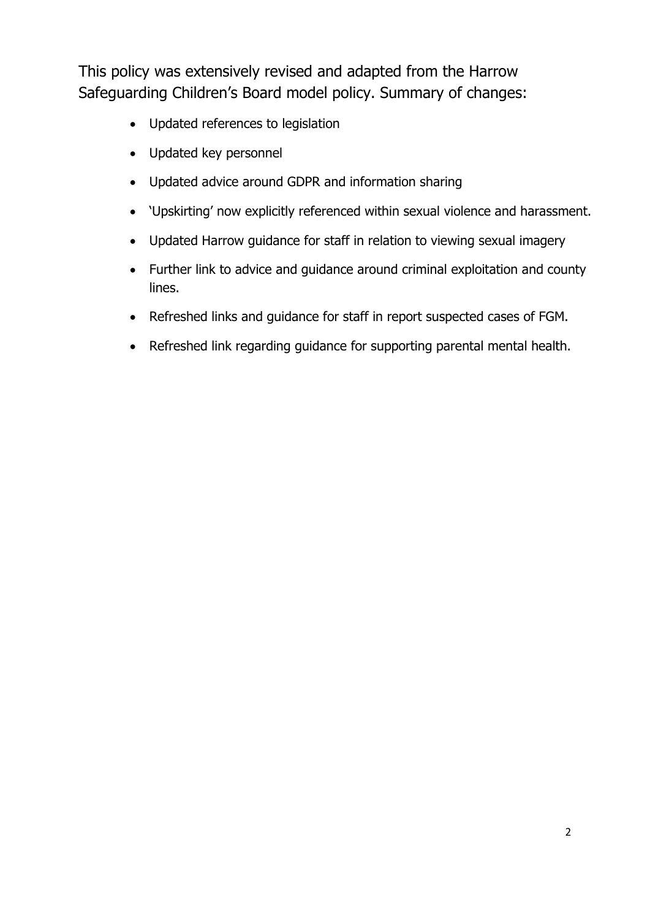This policy was extensively revised and adapted from the Harrow Safeguarding Children's Board model policy. Summary of changes:

- Updated references to legislation
- Updated key personnel
- Updated advice around GDPR and information sharing
- 'Upskirting' now explicitly referenced within sexual violence and harassment.
- Updated Harrow guidance for staff in relation to viewing sexual imagery
- Further link to advice and guidance around criminal exploitation and county lines.
- Refreshed links and guidance for staff in report suspected cases of FGM.
- Refreshed link regarding guidance for supporting parental mental health.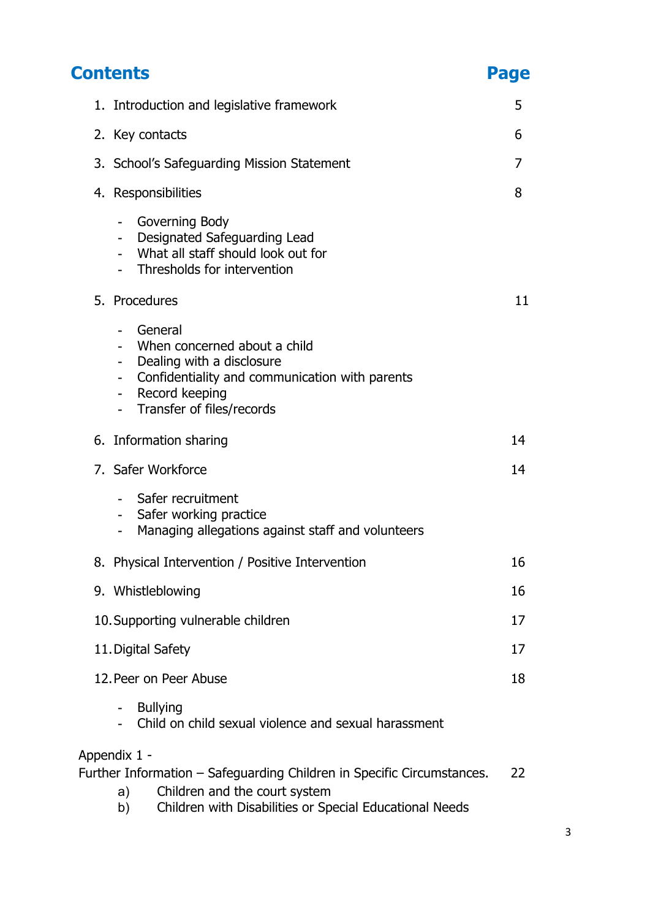| <b>Contents</b><br>Page |                                                                                                                                                                                                                     |    |  |
|-------------------------|---------------------------------------------------------------------------------------------------------------------------------------------------------------------------------------------------------------------|----|--|
|                         | 1. Introduction and legislative framework                                                                                                                                                                           |    |  |
|                         | 2. Key contacts                                                                                                                                                                                                     |    |  |
|                         | 3. School's Safeguarding Mission Statement                                                                                                                                                                          |    |  |
|                         | 4. Responsibilities                                                                                                                                                                                                 |    |  |
|                         | Governing Body<br>$\overline{\phantom{0}}$<br>Designated Safeguarding Lead<br>What all staff should look out for<br>Thresholds for intervention                                                                     |    |  |
|                         | 5. Procedures                                                                                                                                                                                                       | 11 |  |
|                         | General<br>Ξ.<br>- When concerned about a child<br>Dealing with a disclosure<br>Confidentiality and communication with parents<br>$\overline{\phantom{0}}$<br>Record keeping<br>Transfer of files/records<br>$\sim$ |    |  |
|                         | 6. Information sharing                                                                                                                                                                                              | 14 |  |
|                         | 7. Safer Workforce                                                                                                                                                                                                  | 14 |  |
|                         | Safer recruitment<br>Safer working practice<br>$\overline{\phantom{0}}$<br>Managing allegations against staff and volunteers                                                                                        |    |  |
|                         | 8. Physical Intervention / Positive Intervention                                                                                                                                                                    | 16 |  |
|                         | 9. Whistleblowing                                                                                                                                                                                                   | 16 |  |
|                         | 10. Supporting vulnerable children                                                                                                                                                                                  | 17 |  |
|                         | 11. Digital Safety                                                                                                                                                                                                  | 17 |  |
|                         | 12. Peer on Peer Abuse                                                                                                                                                                                              | 18 |  |
|                         | <b>Bullying</b><br>Child on child sexual violence and sexual harassment                                                                                                                                             |    |  |
| Appendix 1 -            | Further Information - Safeguarding Children in Specific Circumstances.<br>Children and the court system<br>a)                                                                                                       | 22 |  |

b) Children with Disabilities or Special Educational Needs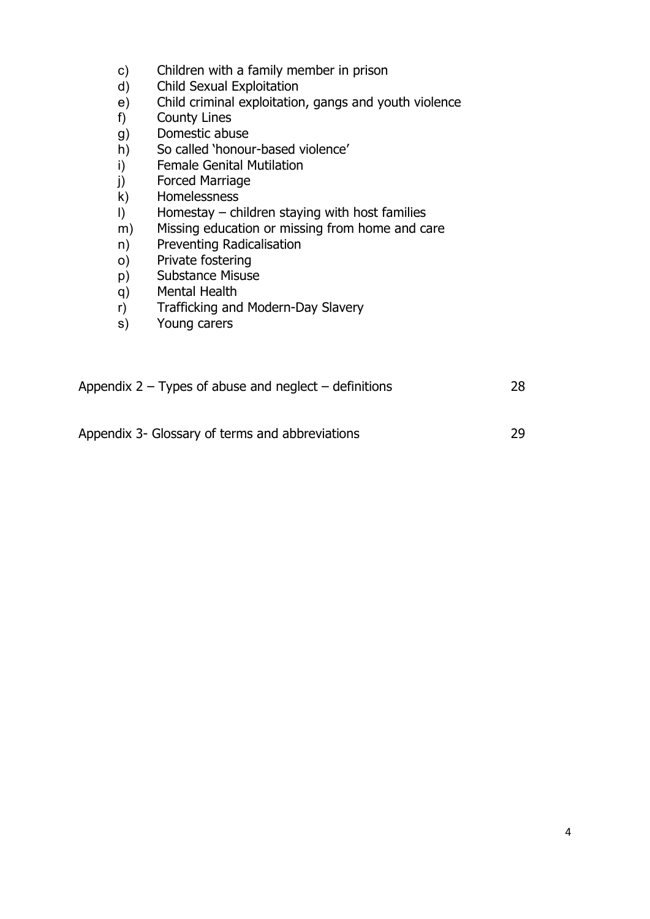- c) Children with a family member in prison
- d) Child Sexual Exploitation
- e) Child criminal exploitation, gangs and youth violence
- 
- f) County Lines<br>g) Domestic abu Domestic abuse
- h) So called 'honour-based violence'<br>i) Female Genital Mutilation
- i) Female Genital Mutilation<br>
j) Forced Marriage
- Forced Marriage
- k) Homelessness
- l) Homestay children staying with host families
- m) Missing education or missing from home and care
- n) Preventing Radicalisation
- o) Private fostering
- p) Substance Misuse
- q) Mental Health
- r) Trafficking and Modern-Day Slavery
- s) Young carers

| Appendix $2 -$ Types of abuse and neglect $-$ definitions | 28 |
|-----------------------------------------------------------|----|
|                                                           |    |
| Appendix 3- Glossary of terms and abbreviations           | 29 |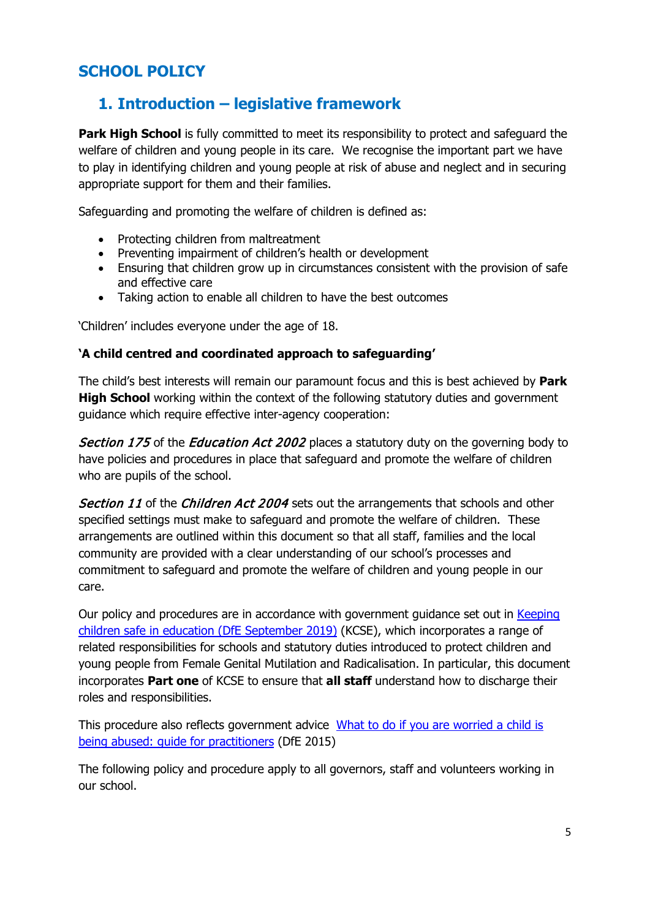# **SCHOOL POLICY**

# **1. Introduction – legislative framework**

**Park High School** is fully committed to meet its responsibility to protect and safequard the welfare of children and young people in its care. We recognise the important part we have to play in identifying children and young people at risk of abuse and neglect and in securing appropriate support for them and their families.

Safeguarding and promoting the welfare of children is defined as:

- Protecting children from maltreatment
- Preventing impairment of children's health or development
- Ensuring that children grow up in circumstances consistent with the provision of safe and effective care
- Taking action to enable all children to have the best outcomes

'Children' includes everyone under the age of 18.

## **'A child centred and coordinated approach to safeguarding'**

The child's best interests will remain our paramount focus and this is best achieved by **Park High School** working within the context of the following statutory duties and government guidance which require effective inter-agency cooperation:

Section 175 of the Education Act 2002 places a statutory duty on the governing body to have policies and procedures in place that safeguard and promote the welfare of children who are pupils of the school.

Section 11 of the Children Act 2004 sets out the arrangements that schools and other specified settings must make to safeguard and promote the welfare of children. These arrangements are outlined within this document so that all staff, families and the local community are provided with a clear understanding of our school's processes and commitment to safeguard and promote the welfare of children and young people in our care.

Our policy and procedures are in accordance with government guidance set out in Keeping [children safe in education \(DfE September 2019\)](https://www.gov.uk/government/publications/keeping-children-safe-in-education--2) (KCSE), which incorporates a range of related responsibilities for schools and statutory duties introduced to protect children and young people from Female Genital Mutilation and Radicalisation. In particular, this document incorporates **Part one** of KCSE to ensure that **all staff** understand how to discharge their roles and responsibilities.

This procedure also reflects government advice [What to do if you are worried a child is](https://www.gov.uk/government/publications/what-to-do-if-youre-worried-a-child-is-being-abused--2)  [being abused: guide for practitioners](https://www.gov.uk/government/publications/what-to-do-if-youre-worried-a-child-is-being-abused--2) (DfE 2015)

The following policy and procedure apply to all governors, staff and volunteers working in our school.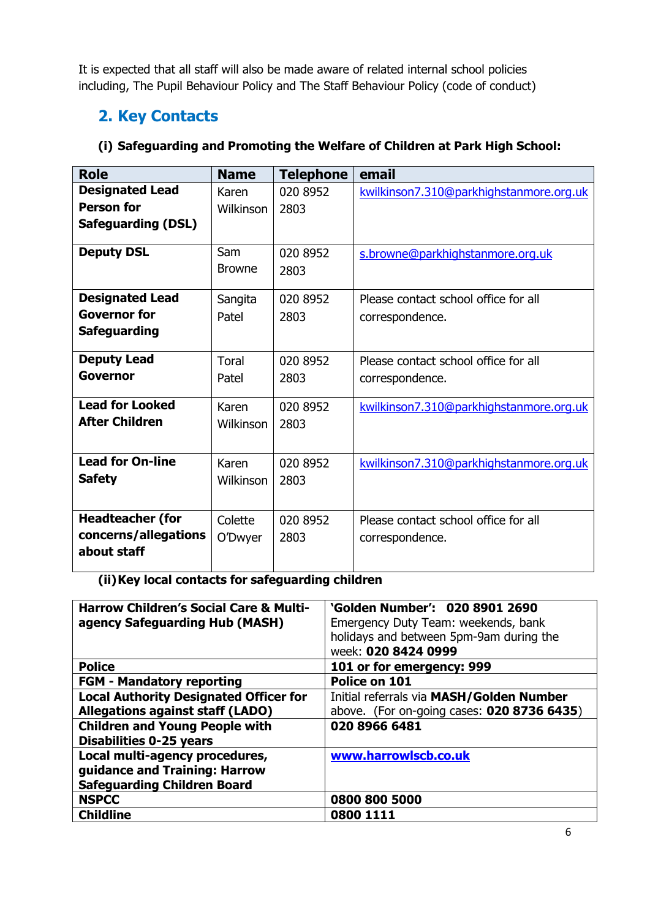It is expected that all staff will also be made aware of related internal school policies including, The Pupil Behaviour Policy and The Staff Behaviour Policy (code of conduct)

# **2. Key Contacts**

# **(i) Safeguarding and Promoting the Welfare of Children at Park High School:**

| <b>Role</b>               | <b>Name</b>                                                 | <b>Telephone</b> | email                                   |
|---------------------------|-------------------------------------------------------------|------------------|-----------------------------------------|
| <b>Designated Lead</b>    | Karen                                                       | 020 8952         | kwilkinson7.310@parkhighstanmore.org.uk |
| <b>Person for</b>         | <b>Wilkinson</b>                                            | 2803             |                                         |
| <b>Safeguarding (DSL)</b> |                                                             |                  |                                         |
| <b>Deputy DSL</b>         | Sam                                                         | 020 8952         | s.browne@parkhighstanmore.org.uk        |
|                           | <b>Browne</b>                                               | 2803             |                                         |
| <b>Designated Lead</b>    | 020 8952<br>Please contact school office for all<br>Sangita |                  |                                         |
| <b>Governor for</b>       | Patel                                                       | 2803             | correspondence.                         |
| <b>Safeguarding</b>       |                                                             |                  |                                         |
| <b>Deputy Lead</b>        | <b>Toral</b>                                                | 020 8952         | Please contact school office for all    |
| Governor                  | Patel                                                       | 2803             | correspondence.                         |
| <b>Lead for Looked</b>    | Karen                                                       | 020 8952         | kwilkinson7.310@parkhighstanmore.org.uk |
| <b>After Children</b>     | <b>Wilkinson</b>                                            | 2803             |                                         |
| <b>Lead for On-line</b>   | Karen                                                       | 020 8952         | kwilkinson7.310@parkhighstanmore.org.uk |
| <b>Safety</b>             | <b>Wilkinson</b>                                            | 2803             |                                         |
|                           |                                                             |                  |                                         |
| <b>Headteacher (for</b>   | Colette                                                     | 020 8952         | Please contact school office for all    |
| concerns/allegations      | O'Dwyer                                                     | 2803             | correspondence.                         |
| about staff               |                                                             |                  |                                         |

**(ii)Key local contacts for safeguarding children**

| <b>Harrow Children's Social Care &amp; Multi-</b><br>agency Safeguarding Hub (MASH) | 'Golden Number': 020 8901 2690<br>Emergency Duty Team: weekends, bank<br>holidays and between 5pm-9am during the<br>week: 020 8424 0999 |
|-------------------------------------------------------------------------------------|-----------------------------------------------------------------------------------------------------------------------------------------|
| <b>Police</b>                                                                       | 101 or for emergency: 999                                                                                                               |
| <b>FGM - Mandatory reporting</b>                                                    | Police on 101                                                                                                                           |
| <b>Local Authority Designated Officer for</b>                                       | Initial referrals via MASH/Golden Number                                                                                                |
| <b>Allegations against staff (LADO)</b>                                             | above. (For on-going cases: 020 8736 6435)                                                                                              |
| <b>Children and Young People with</b><br><b>Disabilities 0-25 years</b>             | 020 8966 6481                                                                                                                           |
| Local multi-agency procedures,                                                      | www.harrowlscb.co.uk                                                                                                                    |
| guidance and Training: Harrow                                                       |                                                                                                                                         |
| <b>Safeguarding Children Board</b>                                                  |                                                                                                                                         |
| <b>NSPCC</b>                                                                        | 0800 800 5000                                                                                                                           |
| <b>Childline</b>                                                                    | <b>0800 1111</b>                                                                                                                        |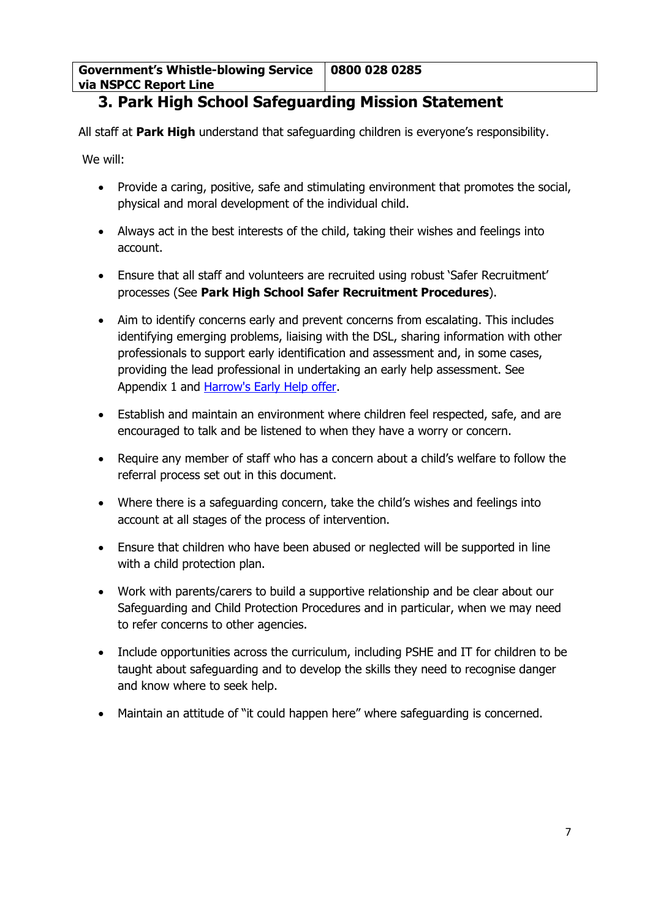**Government's Whistle-blowing Service via NSPCC Report Line 0800 028 0285**

# **3. Park High School Safeguarding Mission Statement**

All staff at **Park High** understand that safeguarding children is everyone's responsibility.

We will:

- Provide a caring, positive, safe and stimulating environment that promotes the social, physical and moral development of the individual child.
- Always act in the best interests of the child, taking their wishes and feelings into account.
- Ensure that all staff and volunteers are recruited using robust 'Safer Recruitment' processes (See **Park High School Safer Recruitment Procedures**).
- Aim to identify concerns early and prevent concerns from escalating. This includes identifying emerging problems, liaising with the DSL, sharing information with other professionals to support early identification and assessment and, in some cases, providing the lead professional in undertaking an early help assessment. See Appendix 1 and [Harrow's Early Help offer.](http://www.harrowlscb.co.uk/parents-carers/early-help/)
- Establish and maintain an environment where children feel respected, safe, and are encouraged to talk and be listened to when they have a worry or concern.
- Require any member of staff who has a concern about a child's welfare to follow the referral process set out in this document.
- Where there is a safeguarding concern, take the child's wishes and feelings into account at all stages of the process of intervention.
- Ensure that children who have been abused or neglected will be supported in line with a child protection plan.
- Work with parents/carers to build a supportive relationship and be clear about our Safeguarding and Child Protection Procedures and in particular, when we may need to refer concerns to other agencies.
- Include opportunities across the curriculum, including PSHE and IT for children to be taught about safeguarding and to develop the skills they need to recognise danger and know where to seek help.
- Maintain an attitude of "it could happen here" where safeguarding is concerned.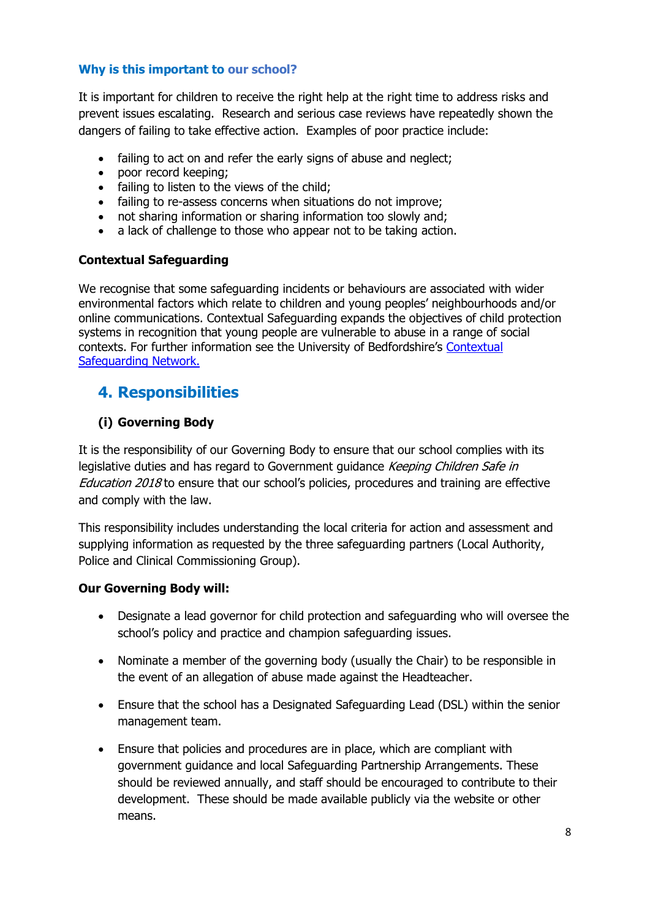## **Why is this important to our school?**

It is important for children to receive the right help at the right time to address risks and prevent issues escalating. Research and serious case reviews have repeatedly shown the dangers of failing to take effective action. Examples of poor practice include:

- failing to act on and refer the early signs of abuse and neglect;
- poor record keeping;
- failing to listen to the views of the child;
- failing to re-assess concerns when situations do not improve;
- not sharing information or sharing information too slowly and;
- a lack of challenge to those who appear not to be taking action.

#### **Contextual Safeguarding**

We recognise that some safeguarding incidents or behaviours are associated with wider environmental factors which relate to children and young peoples' neighbourhoods and/or online communications. Contextual Safeguarding expands the objectives of child protection systems in recognition that young people are vulnerable to abuse in a range of social contexts. For further information see the University of Bedfordshire's [Contextual](https://www.contextualsafeguarding.org.uk/)  [Safeguarding Network.](https://www.contextualsafeguarding.org.uk/)

# **4. Responsibilities**

## **(i) Governing Body**

It is the responsibility of our Governing Body to ensure that our school complies with its legislative duties and has regard to Government guidance Keeping Children Safe in Education 2018 to ensure that our school's policies, procedures and training are effective and comply with the law.

This responsibility includes understanding the local criteria for action and assessment and supplying information as requested by the three safeguarding partners (Local Authority, Police and Clinical Commissioning Group).

#### **Our Governing Body will:**

- Designate a lead governor for child protection and safeguarding who will oversee the school's policy and practice and champion safeguarding issues.
- Nominate a member of the governing body (usually the Chair) to be responsible in the event of an allegation of abuse made against the Headteacher.
- Ensure that the school has a Designated Safeguarding Lead (DSL) within the senior management team.
- Ensure that policies and procedures are in place, which are compliant with government guidance and local Safeguarding Partnership Arrangements. These should be reviewed annually, and staff should be encouraged to contribute to their development. These should be made available publicly via the website or other means.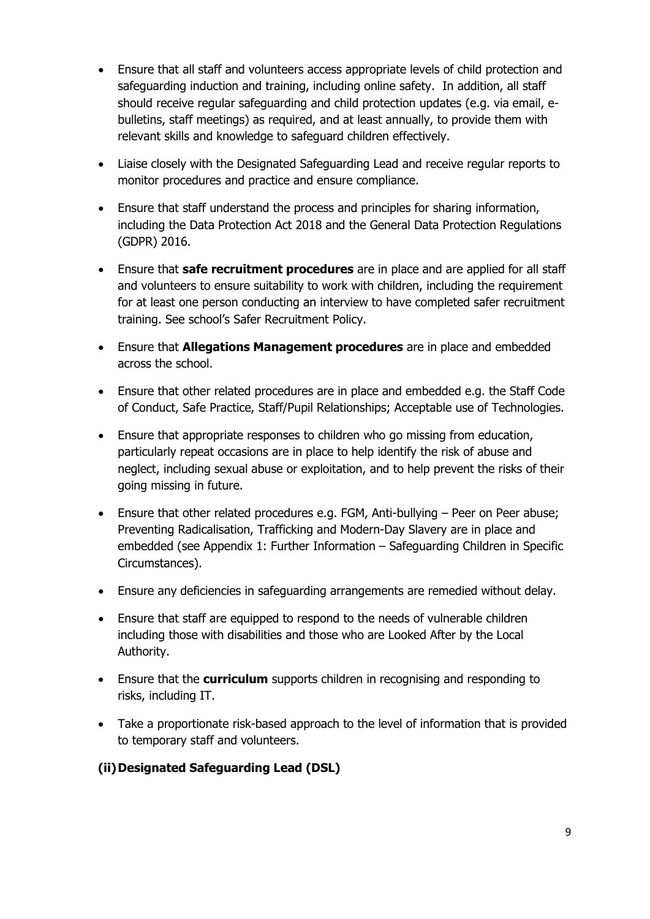- Ensure that all staff and volunteers access appropriate levels of child protection and safeguarding induction and training, including online safety. In addition, all staff should receive regular safeguarding and child protection updates (e.g. via email, ebulletins, staff meetings) as required, and at least annually, to provide them with relevant skills and knowledge to safeguard children effectively.
- Liaise closely with the Designated Safeguarding Lead and receive regular reports to monitor procedures and practice and ensure compliance.
- Ensure that staff understand the process and principles for sharing information, including the Data Protection Act 2018 and the General Data Protection Regulations (GDPR) 2016.
- Ensure that **safe recruitment procedures** are in place and are applied for all staff and volunteers to ensure suitability to work with children, including the requirement for at least one person conducting an interview to have completed safer recruitment training. See school's Safer Recruitment Policy.
- Ensure that **Allegations Management procedures** are in place and embedded across the school.
- Ensure that other related procedures are in place and embedded e.g. the Staff Code of Conduct, Safe Practice, Staff/Pupil Relationships; Acceptable use of Technologies.
- Ensure that appropriate responses to children who go missing from education, particularly repeat occasions are in place to help identify the risk of abuse and neglect, including sexual abuse or exploitation, and to help prevent the risks of their going missing in future.
- Ensure that other related procedures e.g. FGM, Anti-bullying Peer on Peer abuse; Preventing Radicalisation, Trafficking and Modern-Day Slavery are in place and embedded (see Appendix 1: Further Information – Safeguarding Children in Specific Circumstances).
- Ensure any deficiencies in safeguarding arrangements are remedied without delay.
- Ensure that staff are equipped to respond to the needs of vulnerable children including those with disabilities and those who are Looked After by the Local Authority.
- Ensure that the **curriculum** supports children in recognising and responding to risks, including IT.
- Take a proportionate risk-based approach to the level of information that is provided to temporary staff and volunteers.

## **(ii)Designated Safeguarding Lead (DSL)**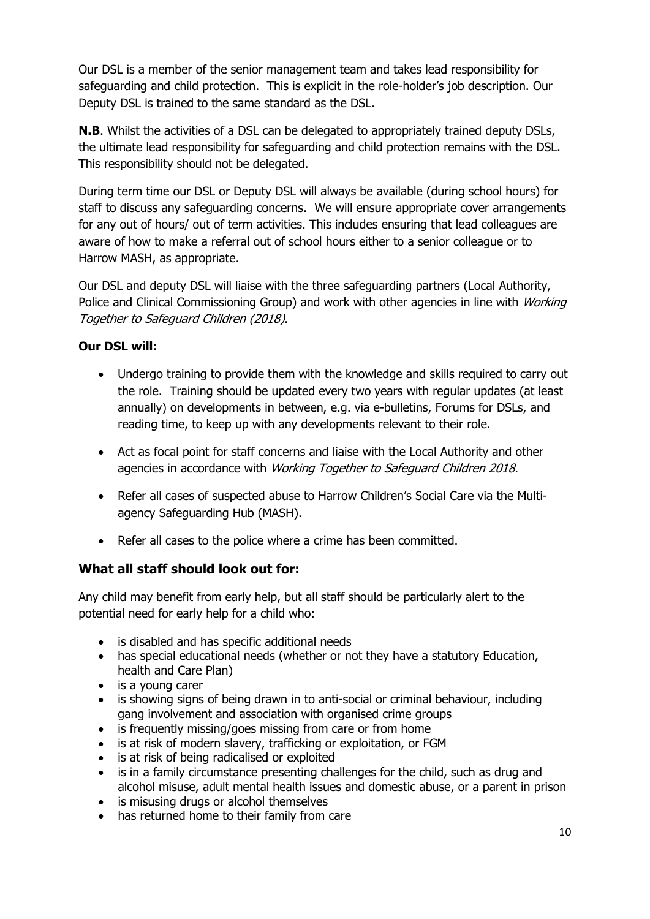Our DSL is a member of the senior management team and takes lead responsibility for safeguarding and child protection. This is explicit in the role-holder's job description. Our Deputy DSL is trained to the same standard as the DSL.

**N.B**. Whilst the activities of a DSL can be delegated to appropriately trained deputy DSLs, the ultimate lead responsibility for safeguarding and child protection remains with the DSL. This responsibility should not be delegated.

During term time our DSL or Deputy DSL will always be available (during school hours) for staff to discuss any safeguarding concerns. We will ensure appropriate cover arrangements for any out of hours/ out of term activities. This includes ensuring that lead colleagues are aware of how to make a referral out of school hours either to a senior colleague or to Harrow MASH, as appropriate.

Our DSL and deputy DSL will liaise with the three safeguarding partners (Local Authority, Police and Clinical Commissioning Group) and work with other agencies in line with *Working* Together to Safeguard Children (2018).

# **Our DSL will:**

- Undergo training to provide them with the knowledge and skills required to carry out the role. Training should be updated every two years with regular updates (at least annually) on developments in between, e.g. via e-bulletins, Forums for DSLs, and reading time, to keep up with any developments relevant to their role.
- Act as focal point for staff concerns and liaise with the Local Authority and other agencies in accordance with *Working Together to Safeguard Children 2018*.
- Refer all cases of suspected abuse to Harrow Children's Social Care via the Multiagency Safeguarding Hub (MASH).
- Refer all cases to the police where a crime has been committed.

# **What all staff should look out for:**

Any child may benefit from early help, but all staff should be particularly alert to the potential need for early help for a child who:

- is disabled and has specific additional needs
- has special educational needs (whether or not they have a statutory Education, health and Care Plan)
- is a young carer
- is showing signs of being drawn in to anti-social or criminal behaviour, including gang involvement and association with organised crime groups
- is frequently missing/goes missing from care or from home
- is at risk of modern slavery, trafficking or exploitation, or FGM
- is at risk of being radicalised or exploited
- is in a family circumstance presenting challenges for the child, such as drug and alcohol misuse, adult mental health issues and domestic abuse, or a parent in prison
- is misusing drugs or alcohol themselves
- has returned home to their family from care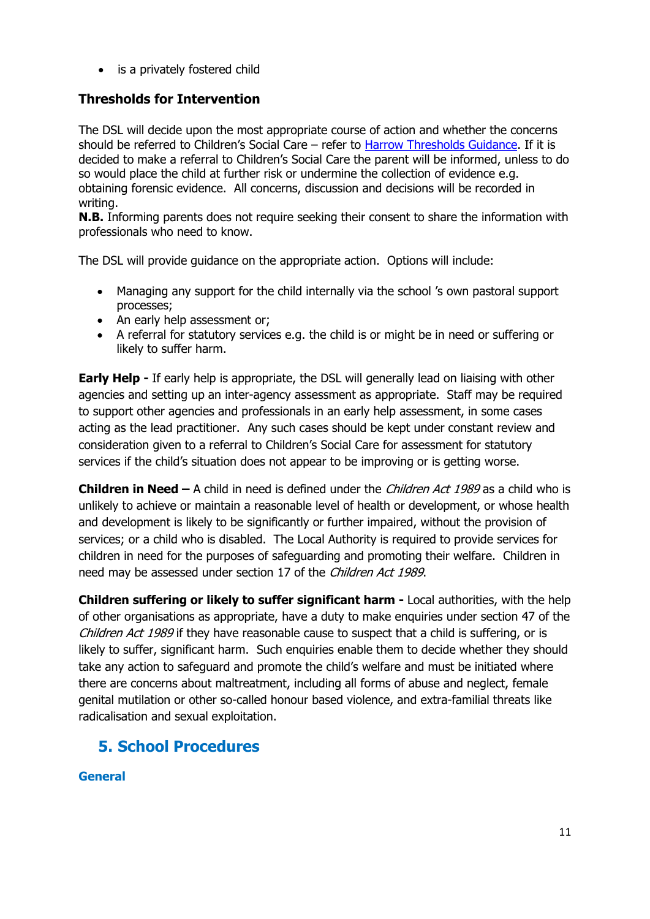• is a privately fostered child

# **Thresholds for Intervention**

The DSL will decide upon the most appropriate course of action and whether the concerns should be referred to Children's Social Care – refer to [Harrow Thresholds Guidance.](http://www.harrowlscb.co.uk/wp-content/uploads/2015/06/Harrow-Threshold-Guidance-Nov-20151.pdf) If it is decided to make a referral to Children's Social Care the parent will be informed, unless to do so would place the child at further risk or undermine the collection of evidence e.g. obtaining forensic evidence. All concerns, discussion and decisions will be recorded in writing.

**N.B.** Informing parents does not require seeking their consent to share the information with professionals who need to know.

The DSL will provide guidance on the appropriate action. Options will include:

- Managing any support for the child internally via the school 's own pastoral support processes;
- An early help assessment or:
- A referral for statutory services e.g. the child is or might be in need or suffering or likely to suffer harm.

**Early Help -** If early help is appropriate, the DSL will generally lead on liaising with other agencies and setting up an inter-agency assessment as appropriate. Staff may be required to support other agencies and professionals in an early help assessment, in some cases acting as the lead practitioner. Any such cases should be kept under constant review and consideration given to a referral to Children's Social Care for assessment for statutory services if the child's situation does not appear to be improving or is getting worse.

**Children in Need –** A child in need is defined under the *Children Act 1989* as a child who is unlikely to achieve or maintain a reasonable level of health or development, or whose health and development is likely to be significantly or further impaired, without the provision of services; or a child who is disabled. The Local Authority is required to provide services for children in need for the purposes of safeguarding and promoting their welfare. Children in need may be assessed under section 17 of the Children Act 1989.

**Children suffering or likely to suffer significant harm -** Local authorities, with the help of other organisations as appropriate, have a duty to make enquiries under section 47 of the Children Act 1989 if they have reasonable cause to suspect that a child is suffering, or is likely to suffer, significant harm. Such enquiries enable them to decide whether they should take any action to safeguard and promote the child's welfare and must be initiated where there are concerns about maltreatment, including all forms of abuse and neglect, female genital mutilation or other so-called honour based violence, and extra-familial threats like radicalisation and sexual exploitation.

# **5. School Procedures**

## **General**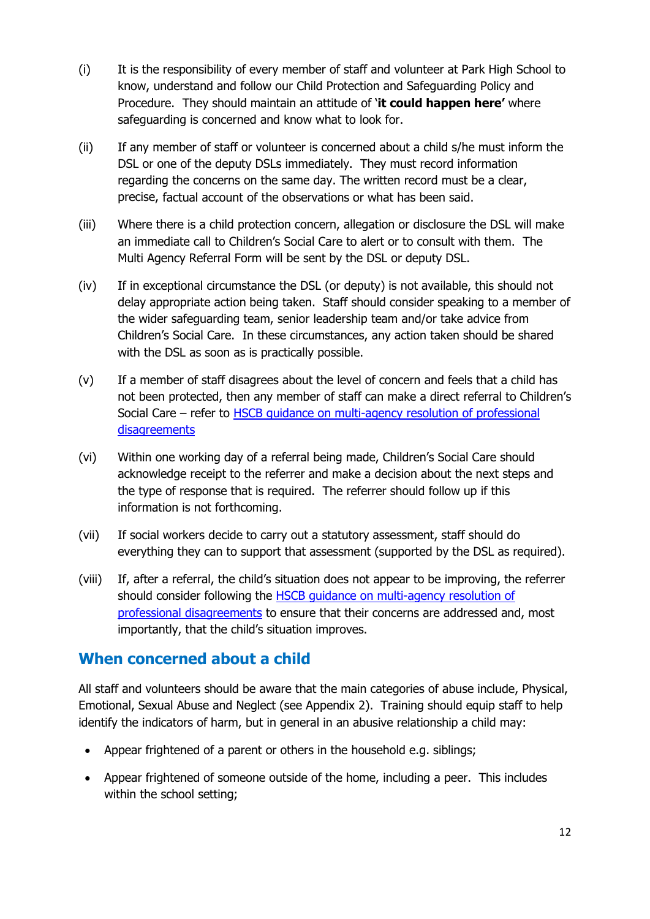- (i) It is the responsibility of every member of staff and volunteer at Park High School to know, understand and follow our Child Protection and Safeguarding Policy and Procedure. They should maintain an attitude of '**it could happen here'** where safeguarding is concerned and know what to look for.
- (ii) If any member of staff or volunteer is concerned about a child s/he must inform the DSL or one of the deputy DSLs immediately. They must record information regarding the concerns on the same day. The written record must be a clear, precise, factual account of the observations or what has been said.
- (iii) Where there is a child protection concern, allegation or disclosure the DSL will make an immediate call to Children's Social Care to alert or to consult with them. The Multi Agency Referral Form will be sent by the DSL or deputy DSL.
- (iv) If in exceptional circumstance the DSL (or deputy) is not available, this should not delay appropriate action being taken. Staff should consider speaking to a member of the wider safeguarding team, senior leadership team and/or take advice from Children's Social Care. In these circumstances, any action taken should be shared with the DSL as soon as is practically possible.
- (v) If a member of staff disagrees about the level of concern and feels that a child has not been protected, then any member of staff can make a direct referral to Children's Social Care – refer to HSCB quidance on multi-agency resolution of professional [disagreements](http://www.harrowlscb.co.uk/london-gp/challenge-and-escalation/)
- (vi) Within one working day of a referral being made, Children's Social Care should acknowledge receipt to the referrer and make a decision about the next steps and the type of response that is required. The referrer should follow up if this information is not forthcoming.
- (vii) If social workers decide to carry out a statutory assessment, staff should do everything they can to support that assessment (supported by the DSL as required).
- (viii) If, after a referral, the child's situation does not appear to be improving, the referrer should consider following the [HSCB guidance on multi-agency resolution of](http://www.harrowlscb.co.uk/london-gp/challenge-and-escalation/)  [professional disagreements](http://www.harrowlscb.co.uk/london-gp/challenge-and-escalation/) to ensure that their concerns are addressed and, most importantly, that the child's situation improves.

# **When concerned about a child**

All staff and volunteers should be aware that the main categories of abuse include, Physical, Emotional, Sexual Abuse and Neglect (see Appendix 2). Training should equip staff to help identify the indicators of harm, but in general in an abusive relationship a child may:

- Appear frightened of a parent or others in the household e.g. siblings;
- Appear frightened of someone outside of the home, including a peer. This includes within the school setting;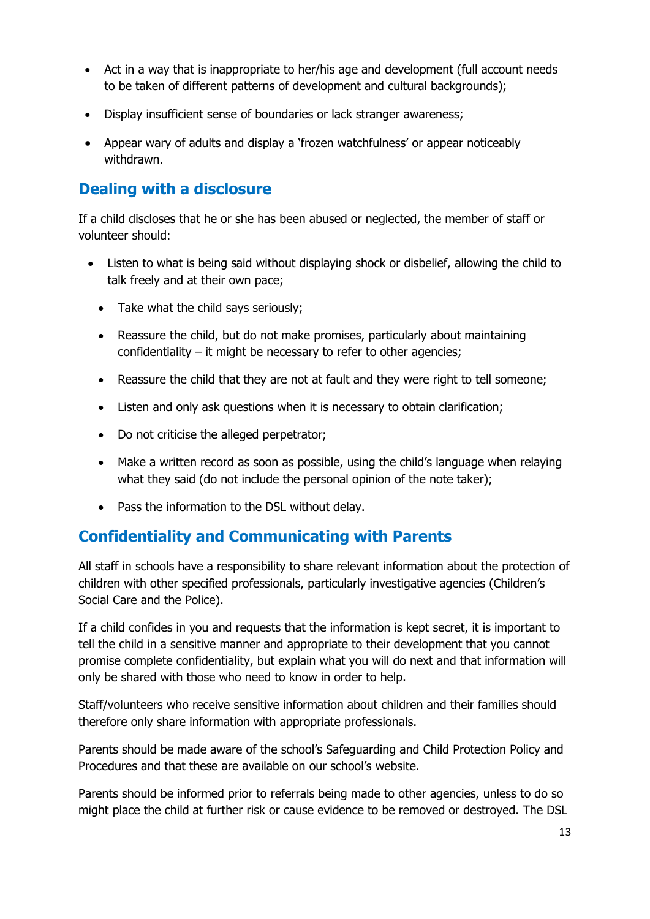- Act in a way that is inappropriate to her/his age and development (full account needs to be taken of different patterns of development and cultural backgrounds);
- Display insufficient sense of boundaries or lack stranger awareness;
- Appear wary of adults and display a 'frozen watchfulness' or appear noticeably withdrawn.

# **Dealing with a disclosure**

If a child discloses that he or she has been abused or neglected, the member of staff or volunteer should:

- Listen to what is being said without displaying shock or disbelief, allowing the child to talk freely and at their own pace;
	- Take what the child says seriously;
	- Reassure the child, but do not make promises, particularly about maintaining confidentiality – it might be necessary to refer to other agencies;
	- Reassure the child that they are not at fault and they were right to tell someone;
	- Listen and only ask questions when it is necessary to obtain clarification;
	- Do not criticise the alleged perpetrator;
	- Make a written record as soon as possible, using the child's language when relaying what they said (do not include the personal opinion of the note taker);
	- Pass the information to the DSL without delay.

# **Confidentiality and Communicating with Parents**

All staff in schools have a responsibility to share relevant information about the protection of children with other specified professionals, particularly investigative agencies (Children's Social Care and the Police).

If a child confides in you and requests that the information is kept secret, it is important to tell the child in a sensitive manner and appropriate to their development that you cannot promise complete confidentiality, but explain what you will do next and that information will only be shared with those who need to know in order to help.

Staff/volunteers who receive sensitive information about children and their families should therefore only share information with appropriate professionals.

Parents should be made aware of the school's Safeguarding and Child Protection Policy and Procedures and that these are available on our school's website.

Parents should be informed prior to referrals being made to other agencies, unless to do so might place the child at further risk or cause evidence to be removed or destroyed. The DSL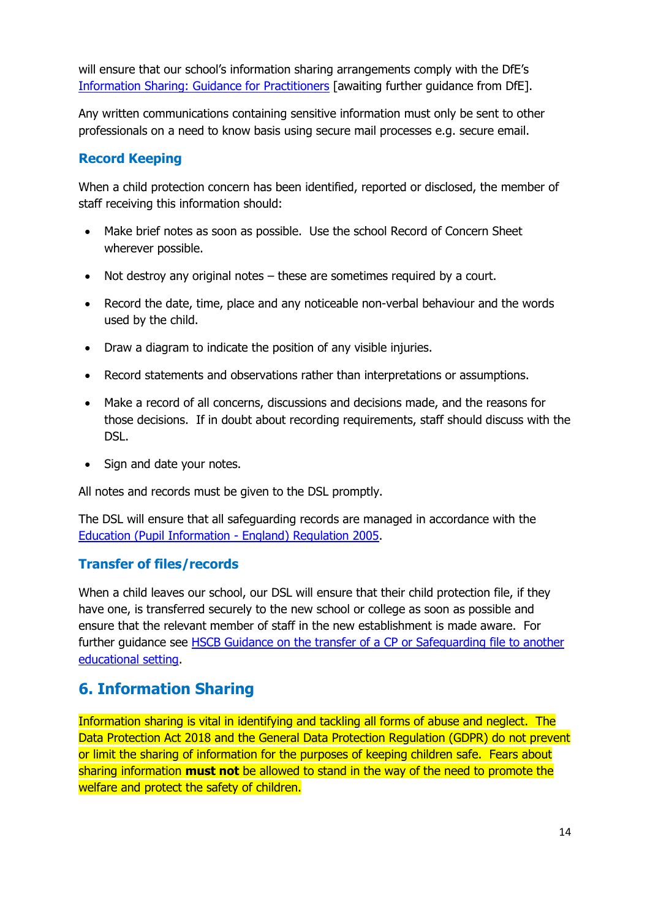will ensure that our school's information sharing arrangements comply with the DfE's [Information Sharing: Guidance for Practitioners](https://www.gov.uk/government/publications/safeguarding-practitioners-information-sharing-advice) [awaiting further guidance from DfE].

Any written communications containing sensitive information must only be sent to other professionals on a need to know basis using secure mail processes e.g. secure email.

# **Record Keeping**

When a child protection concern has been identified, reported or disclosed, the member of staff receiving this information should:

- Make brief notes as soon as possible. Use the school Record of Concern Sheet wherever possible.
- Not destroy any original notes these are sometimes required by a court.
- Record the date, time, place and any noticeable non-verbal behaviour and the words used by the child.
- Draw a diagram to indicate the position of any visible injuries.
- Record statements and observations rather than interpretations or assumptions.
- Make a record of all concerns, discussions and decisions made, and the reasons for those decisions. If in doubt about recording requirements, staff should discuss with the DSL.
- Sign and date your notes.

All notes and records must be given to the DSL promptly.

The DSL will ensure that all safeguarding records are managed in accordance with the [Education \(Pupil Information -](http://www.legislation.gov.uk/uksi/2005/1437/regulation/6/made) England) Regulation 2005.

# **Transfer of files/records**

When a child leaves our school, our DSL will ensure that their child protection file, if they have one, is transferred securely to the new school or college as soon as possible and ensure that the relevant member of staff in the new establishment is made aware. For further guidance see **HSCB Guidance on the transfer of a CP** or Safequarding file to another [educational setting.](http://www.harrowlscb.co.uk/wp-content/uploads/2015/06/Guidance-on-the-transfer-of-a-child-protection-safeguarding-file-1.pdf)

# **6. Information Sharing**

Information sharing is vital in identifying and tackling all forms of abuse and neglect. The Data Protection Act 2018 and the General Data Protection Regulation (GDPR) do not prevent or limit the sharing of information for the purposes of keeping children safe. Fears about sharing information **must not** be allowed to stand in the way of the need to promote the welfare and protect the safety of children.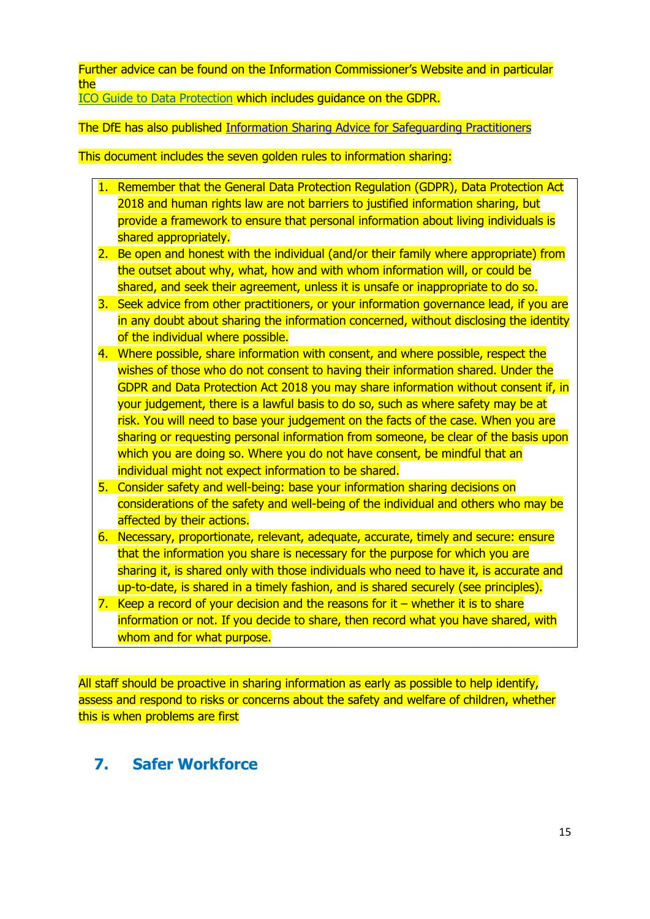Further advice can be found on the Information Commissioner's Website and in particular the

[ICO Guide to Data Protection](https://ico.org.uk/for-organisations/guide-to-data-protection/) which includes guidance on the GDPR.

The DfE has also published [Information Sharing Advice for Safeguarding Practitioners](https://d.docs.live.net/b54dd050185e1c2e/Documents/Everything%2002%20September%202018/Coral/Model%20Safeguarding%20and%20Child%20Protection%20Policy%20draft%20Oct%2019.docx)

This document includes the seven golden rules to information sharing:

- 1. Remember that the General Data Protection Regulation (GDPR), Data Protection Act 2018 and human rights law are not barriers to justified information sharing, but provide a framework to ensure that personal information about living individuals is shared appropriately.
- 2. Be open and honest with the individual (and/or their family where appropriate) from the outset about why, what, how and with whom information will, or could be shared, and seek their agreement, unless it is unsafe or inappropriate to do so.
- 3. Seek advice from other practitioners, or your information governance lead, if you are in any doubt about sharing the information concerned, without disclosing the identity of the individual where possible.
- 4. Where possible, share information with consent, and where possible, respect the wishes of those who do not consent to having their information shared. Under the GDPR and Data Protection Act 2018 you may share information without consent if, in your judgement, there is a lawful basis to do so, such as where safety may be at risk. You will need to base your judgement on the facts of the case. When you are sharing or requesting personal information from someone, be clear of the basis upon which you are doing so. Where you do not have consent, be mindful that an individual might not expect information to be shared.
- 5. Consider safety and well-being: base your information sharing decisions on considerations of the safety and well-being of the individual and others who may be affected by their actions.
- 6. Necessary, proportionate, relevant, adequate, accurate, timely and secure: ensure that the information you share is necessary for the purpose for which you are sharing it, is shared only with those individuals who need to have it, is accurate and up-to-date, is shared in a timely fashion, and is shared securely (see principles).
- 7. Keep a record of your decision and the reasons for it  $-$  whether it is to share information or not. If you decide to share, then record what you have shared, with whom and for what purpose.

All staff should be proactive in sharing information as early as possible to help identify, assess and respond to risks or concerns about the safety and welfare of children, whether this is when problems are first

# **7. Safer Workforce**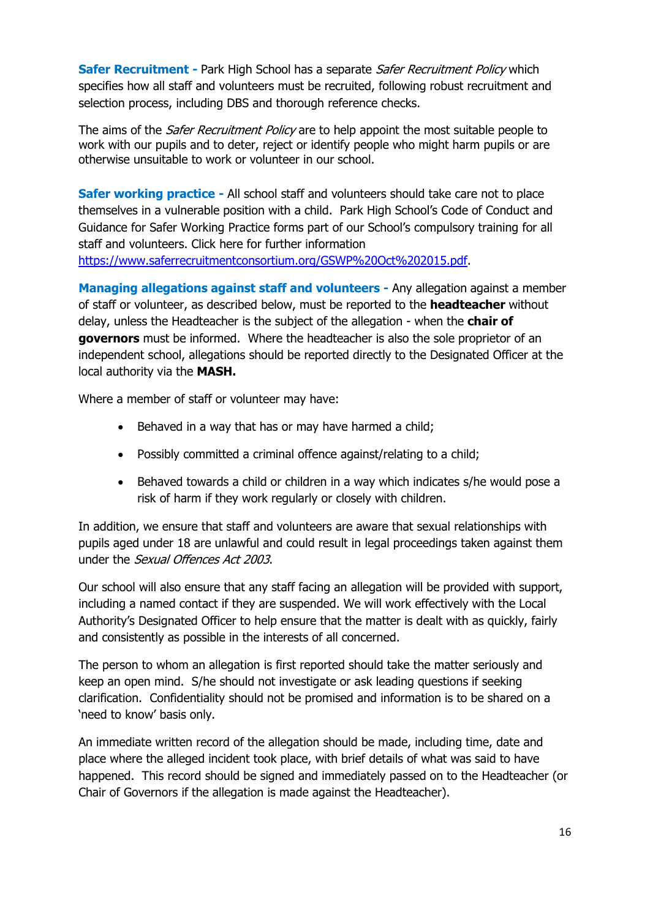**Safer Recruitment -** Park High School has a separate *Safer Recruitment Policy* which specifies how all staff and volunteers must be recruited, following robust recruitment and selection process, including DBS and thorough reference checks.

The aims of the *Safer Recruitment Policy* are to help appoint the most suitable people to work with our pupils and to deter, reject or identify people who might harm pupils or are otherwise unsuitable to work or volunteer in our school.

**Safer working practice -** All school staff and volunteers should take care not to place themselves in a vulnerable position with a child. Park High School's Code of Conduct and Guidance for Safer Working Practice forms part of our School's compulsory training for all staff and volunteers. Click here for further information [https://www.saferrecruitmentconsortium.org/GSWP%20Oct%202015.pdf.](https://www.saferrecruitmentconsortium.org/GSWP%20Oct%202015.pdf)

**Managing allegations against staff and volunteers -** Any allegation against a member of staff or volunteer, as described below, must be reported to the **headteacher** without delay, unless the Headteacher is the subject of the allegation - when the **chair of governors** must be informed. Where the headteacher is also the sole proprietor of an independent school, allegations should be reported directly to the Designated Officer at the local authority via the **MASH.**

Where a member of staff or volunteer may have:

- Behaved in a way that has or may have harmed a child;
- Possibly committed a criminal offence against/relating to a child;
- Behaved towards a child or children in a way which indicates s/he would pose a risk of harm if they work regularly or closely with children.

In addition, we ensure that staff and volunteers are aware that sexual relationships with pupils aged under 18 are unlawful and could result in legal proceedings taken against them under the Sexual Offences Act 2003.

Our school will also ensure that any staff facing an allegation will be provided with support, including a named contact if they are suspended. We will work effectively with the Local Authority's Designated Officer to help ensure that the matter is dealt with as quickly, fairly and consistently as possible in the interests of all concerned.

The person to whom an allegation is first reported should take the matter seriously and keep an open mind. S/he should not investigate or ask leading questions if seeking clarification. Confidentiality should not be promised and information is to be shared on a 'need to know' basis only.

An immediate written record of the allegation should be made, including time, date and place where the alleged incident took place, with brief details of what was said to have happened. This record should be signed and immediately passed on to the Headteacher (or Chair of Governors if the allegation is made against the Headteacher).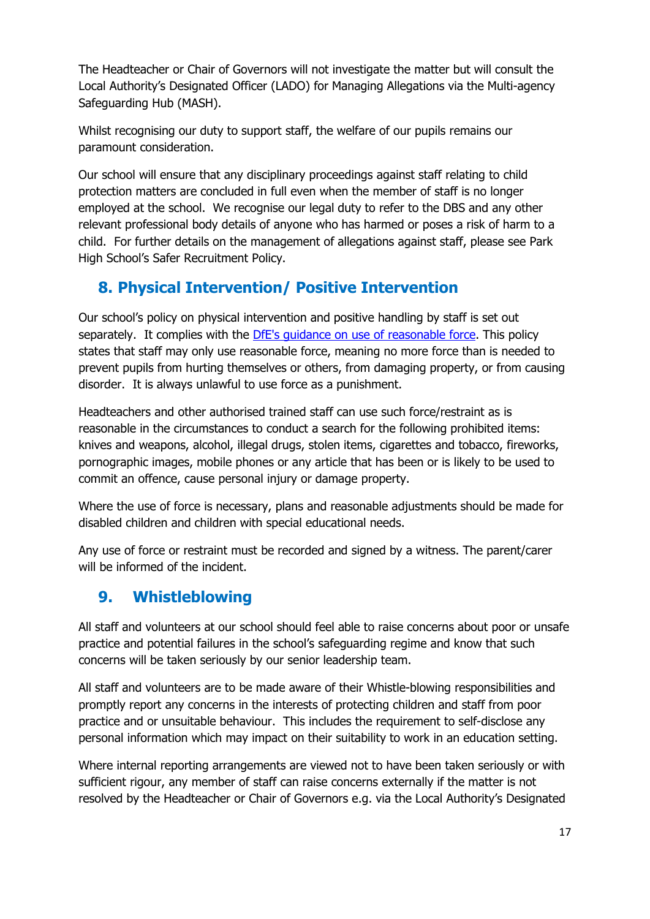The Headteacher or Chair of Governors will not investigate the matter but will consult the Local Authority's Designated Officer (LADO) for Managing Allegations via the Multi-agency Safeguarding Hub (MASH).

Whilst recognising our duty to support staff, the welfare of our pupils remains our paramount consideration.

Our school will ensure that any disciplinary proceedings against staff relating to child protection matters are concluded in full even when the member of staff is no longer employed at the school. We recognise our legal duty to refer to the DBS and any other relevant professional body details of anyone who has harmed or poses a risk of harm to a child. For further details on the management of allegations against staff, please see Park High School's Safer Recruitment Policy.

# **8. Physical Intervention/ Positive Intervention**

Our school's policy on physical intervention and positive handling by staff is set out separately. It complies with the [DfE's guidance on use of reasonable force.](https://www.gov.uk/government/publications/use-of-reasonable-force-in-schools) This policy states that staff may only use reasonable force, meaning no more force than is needed to prevent pupils from hurting themselves or others, from damaging property, or from causing disorder. It is always unlawful to use force as a punishment.

Headteachers and other authorised trained staff can use such force/restraint as is reasonable in the circumstances to conduct a search for the following prohibited items: knives and weapons, alcohol, illegal drugs, stolen items, cigarettes and tobacco, fireworks, pornographic images, mobile phones or any article that has been or is likely to be used to commit an offence, cause personal injury or damage property.

Where the use of force is necessary, plans and reasonable adjustments should be made for disabled children and children with special educational needs.

Any use of force or restraint must be recorded and signed by a witness. The parent/carer will be informed of the incident.

# **9. Whistleblowing**

All staff and volunteers at our school should feel able to raise concerns about poor or unsafe practice and potential failures in the school's safeguarding regime and know that such concerns will be taken seriously by our senior leadership team.

All staff and volunteers are to be made aware of their Whistle-blowing responsibilities and promptly report any concerns in the interests of protecting children and staff from poor practice and or unsuitable behaviour. This includes the requirement to self-disclose any personal information which may impact on their suitability to work in an education setting.

Where internal reporting arrangements are viewed not to have been taken seriously or with sufficient rigour, any member of staff can raise concerns externally if the matter is not resolved by the Headteacher or Chair of Governors e.g. via the Local Authority's Designated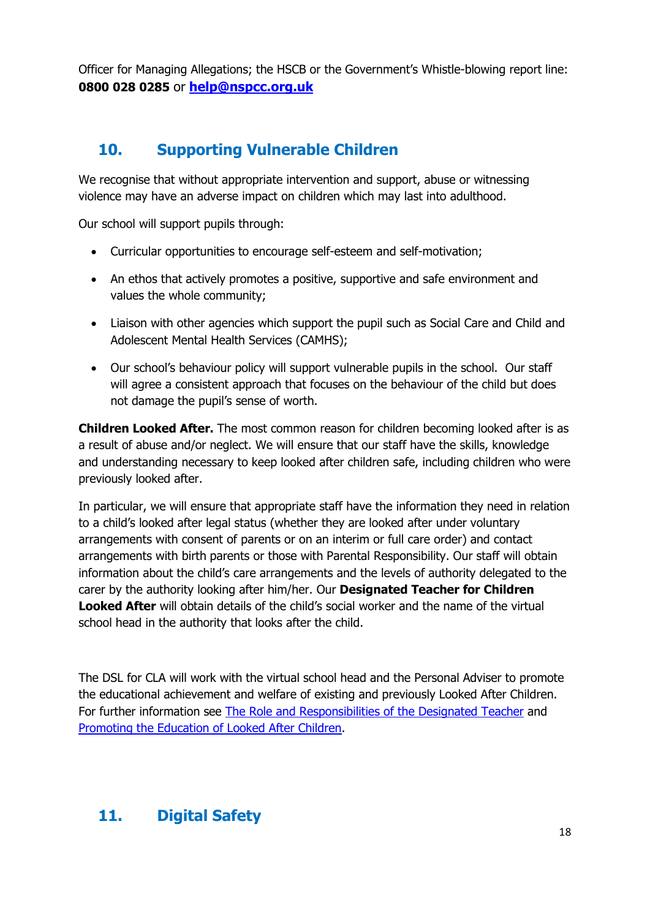Officer for Managing Allegations; the HSCB or the Government's Whistle-blowing report line: **0800 028 0285** or **[help@nspcc.org.uk](mailto:help@nspcc.org.uk)**

# **10. Supporting Vulnerable Children**

We recognise that without appropriate intervention and support, abuse or witnessing violence may have an adverse impact on children which may last into adulthood.

Our school will support pupils through:

- Curricular opportunities to encourage self-esteem and self-motivation;
- An ethos that actively promotes a positive, supportive and safe environment and values the whole community;
- Liaison with other agencies which support the pupil such as Social Care and Child and Adolescent Mental Health Services (CAMHS);
- Our school's behaviour policy will support vulnerable pupils in the school. Our staff will agree a consistent approach that focuses on the behaviour of the child but does not damage the pupil's sense of worth.

**Children Looked After.** The most common reason for children becoming looked after is as a result of abuse and/or neglect. We will ensure that our staff have the skills, knowledge and understanding necessary to keep looked after children safe, including children who were previously looked after.

In particular, we will ensure that appropriate staff have the information they need in relation to a child's looked after legal status (whether they are looked after under voluntary arrangements with consent of parents or on an interim or full care order) and contact arrangements with birth parents or those with Parental Responsibility. Our staff will obtain information about the child's care arrangements and the levels of authority delegated to the carer by the authority looking after him/her. Our **Designated Teacher for Children Looked After** will obtain details of the child's social worker and the name of the virtual school head in the authority that looks after the child.

The DSL for CLA will work with the virtual school head and the Personal Adviser to promote the educational achievement and welfare of existing and previously Looked After Children. For further information see [The Role and Responsibilities of the Designated Teacher](https://www.gov.uk/government/publications/designated-teacher-for-looked-after-children) and [Promoting the Education of Looked After Children.](https://www.gov.uk/government/publications/promoting-the-education-of-looked-after-children)

# **11. Digital Safety**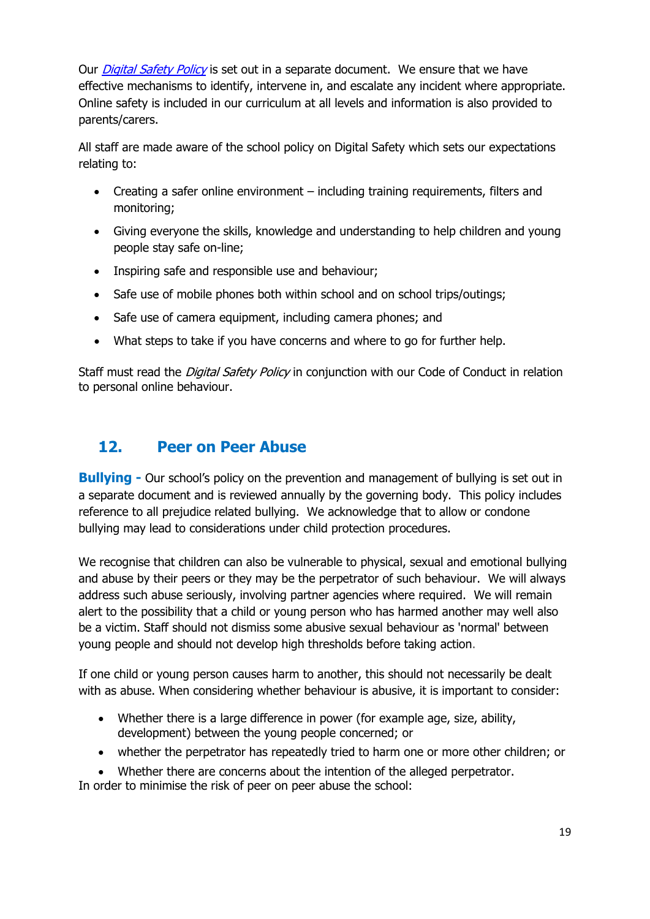Our *[Digital Safety Policy](https://www.parkhighstanmore.org.uk/attachments/download.asp?file=1145&type=pdf)* is set out in a separate document. We ensure that we have effective mechanisms to identify, intervene in, and escalate any incident where appropriate. Online safety is included in our curriculum at all levels and information is also provided to parents/carers.

All staff are made aware of the school policy on Digital Safety which sets our expectations relating to:

- Creating a safer online environment including training requirements, filters and monitoring;
- Giving everyone the skills, knowledge and understanding to help children and young people stay safe on-line;
- Inspiring safe and responsible use and behaviour;
- Safe use of mobile phones both within school and on school trips/outings;
- Safe use of camera equipment, including camera phones; and
- What steps to take if you have concerns and where to go for further help.

Staff must read the *Digital Safety Policy* in conjunction with our Code of Conduct in relation to personal online behaviour.

# **12. Peer on Peer Abuse**

**Bullying -** Our school's policy on the prevention and management of bullying is set out in a separate document and is reviewed annually by the governing body. This policy includes reference to all prejudice related bullying. We acknowledge that to allow or condone bullying may lead to considerations under child protection procedures.

We recognise that children can also be vulnerable to physical, sexual and emotional bullying and abuse by their peers or they may be the perpetrator of such behaviour. We will always address such abuse seriously, involving partner agencies where required. We will remain alert to the possibility that a child or young person who has harmed another may well also be a victim. Staff should not dismiss some abusive sexual behaviour as 'normal' between young people and should not develop high thresholds before taking action.

If one child or young person causes harm to another, this should not necessarily be dealt with as abuse. When considering whether behaviour is abusive, it is important to consider:

- Whether there is a large difference in power (for example age, size, ability, development) between the young people concerned; or
- whether the perpetrator has repeatedly tried to harm one or more other children; or
- Whether there are concerns about the intention of the alleged perpetrator. In order to minimise the risk of peer on peer abuse the school: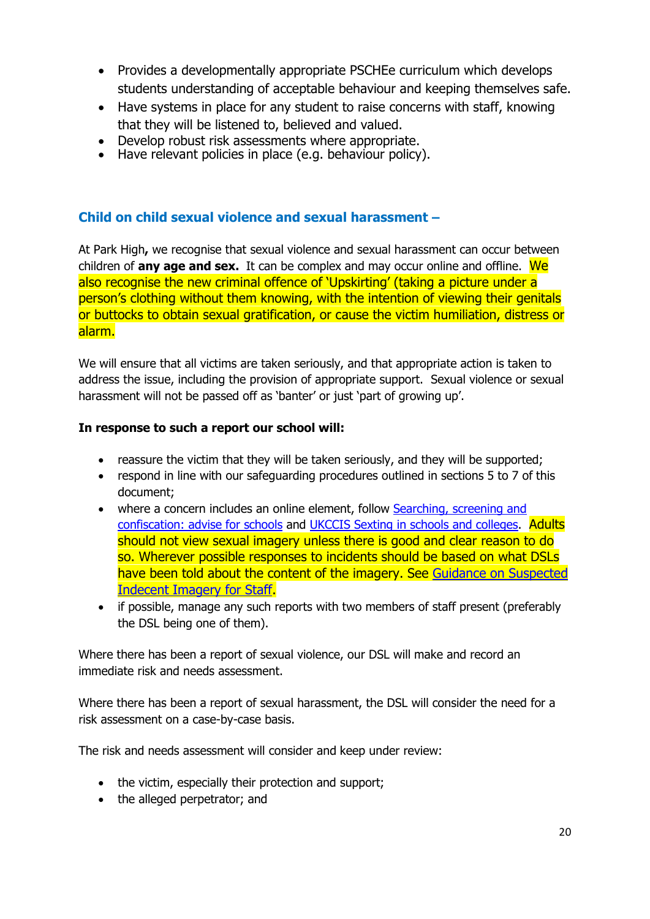- Provides a developmentally appropriate PSCHEe curriculum which develops students understanding of acceptable behaviour and keeping themselves safe.
- Have systems in place for any student to raise concerns with staff, knowing that they will be listened to, believed and valued.
- Develop robust risk assessments where appropriate.<br>• Have relevant policies in place (e.g. behaviour policy
- Have relevant policies in place (e.g. behaviour policy).

# **Child on child sexual violence and sexual harassment –**

At Park High**,** we recognise that sexual violence and sexual harassment can occur between children of **any age and sex.** It can be complex and may occur online and offline. We also recognise the new criminal offence of 'Upskirting' (taking a picture under a person's clothing without them knowing, with the intention of viewing their genitals or buttocks to obtain sexual gratification, or cause the victim humiliation, distress or alarm.

We will ensure that all victims are taken seriously, and that appropriate action is taken to address the issue, including the provision of appropriate support. Sexual violence or sexual harassment will not be passed off as 'banter' or just 'part of growing up'.

## **In response to such a report our school will:**

- reassure the victim that they will be taken seriously, and they will be supported;
- respond in line with our safeguarding procedures outlined in sections 5 to 7 of this document;
- where a concern includes an online element, follow Searching, screening and [confiscation: advise for schools](https://www.gov.uk/government/publications/searching-screening-and-confiscation) and [UKCCIS Sexting in schools and colleges.](https://www.gov.uk/government/groups/uk-council-for-child-internet-safety-ukccis) Adults should not view sexual imagery unless there is good and clear reason to do so. Wherever possible responses to incidents should be based on what DSLs have been told about the content of the imagery. See [Guidance on Suspected](http://www.harrowscb.co.uk/wp-content/uploads/2019/10/Suspected-Indecent-Imagery-Protocol-for-staff.pdf)  [Indecent Imagery for Staff.](http://www.harrowscb.co.uk/wp-content/uploads/2019/10/Suspected-Indecent-Imagery-Protocol-for-staff.pdf)
- if possible, manage any such reports with two members of staff present (preferably the DSL being one of them).

Where there has been a report of sexual violence, our DSL will make and record an immediate risk and needs assessment.

Where there has been a report of sexual harassment, the DSL will consider the need for a risk assessment on a case-by-case basis.

The risk and needs assessment will consider and keep under review:

- the victim, especially their protection and support;
- the alleged perpetrator; and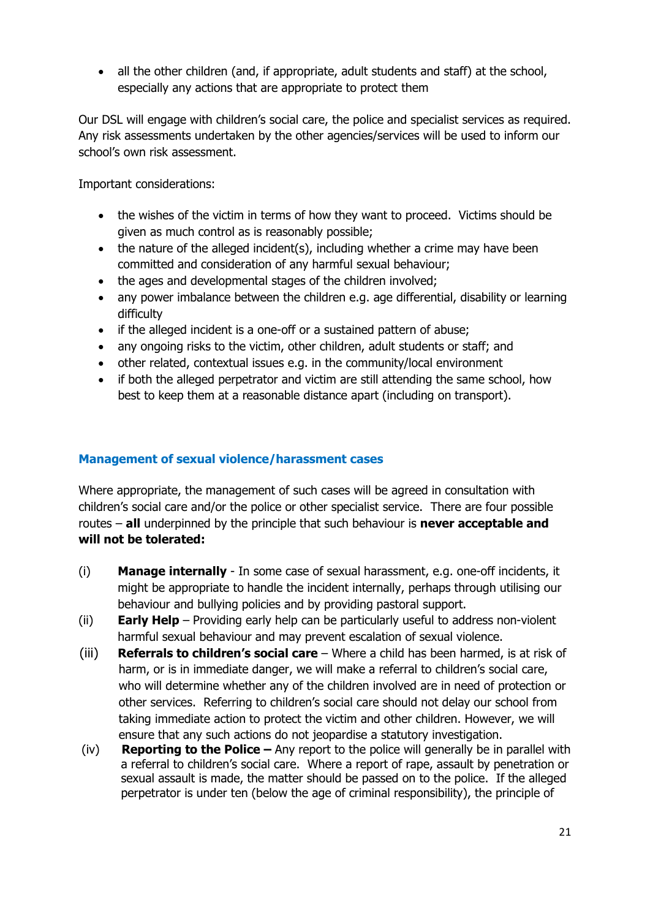• all the other children (and, if appropriate, adult students and staff) at the school, especially any actions that are appropriate to protect them

Our DSL will engage with children's social care, the police and specialist services as required. Any risk assessments undertaken by the other agencies/services will be used to inform our school's own risk assessment.

Important considerations:

- the wishes of the victim in terms of how they want to proceed. Victims should be given as much control as is reasonably possible;
- the nature of the alleged incident(s), including whether a crime may have been committed and consideration of any harmful sexual behaviour;
- the ages and developmental stages of the children involved;
- any power imbalance between the children e.g. age differential, disability or learning difficulty
- if the alleged incident is a one-off or a sustained pattern of abuse;
- any ongoing risks to the victim, other children, adult students or staff; and
- other related, contextual issues e.g. in the community/local environment
- if both the alleged perpetrator and victim are still attending the same school, how best to keep them at a reasonable distance apart (including on transport).

## **Management of sexual violence/harassment cases**

Where appropriate, the management of such cases will be agreed in consultation with children's social care and/or the police or other specialist service. There are four possible routes – **all** underpinned by the principle that such behaviour is **never acceptable and will not be tolerated:**

- (i) **Manage internally** In some case of sexual harassment, e.g. one-off incidents, it might be appropriate to handle the incident internally, perhaps through utilising our behaviour and bullying policies and by providing pastoral support.
- (ii) **Early Help**  Providing early help can be particularly useful to address non-violent harmful sexual behaviour and may prevent escalation of sexual violence.
- (iii) **Referrals to children's social care**  Where a child has been harmed, is at risk of harm, or is in immediate danger, we will make a referral to children's social care, who will determine whether any of the children involved are in need of protection or other services. Referring to children's social care should not delay our school from taking immediate action to protect the victim and other children. However, we will ensure that any such actions do not jeopardise a statutory investigation.
- (iv) **Reporting to the Police –** Any report to the police will generally be in parallel with a referral to children's social care. Where a report of rape, assault by penetration or sexual assault is made, the matter should be passed on to the police. If the alleged perpetrator is under ten (below the age of criminal responsibility), the principle of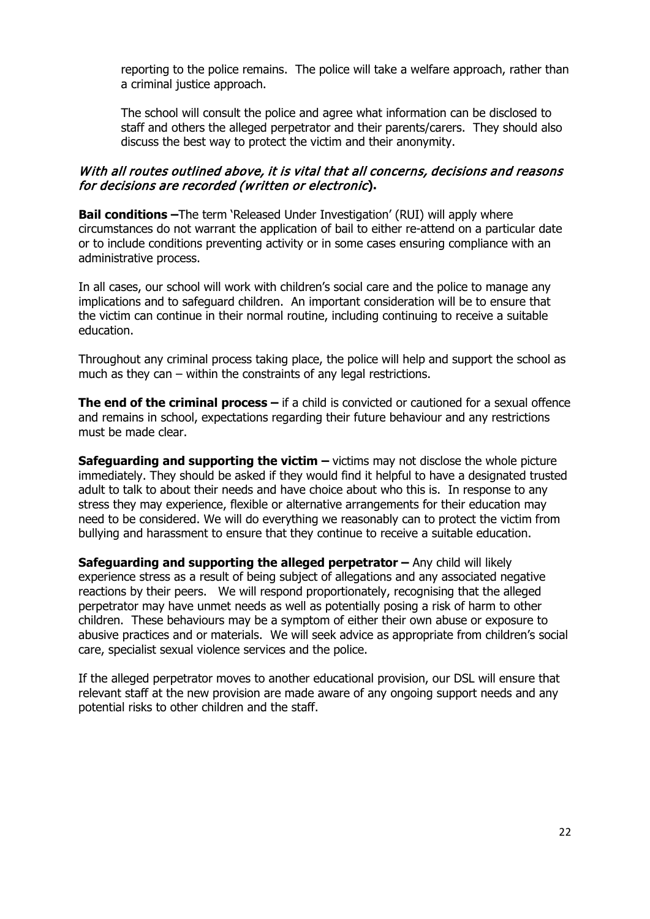reporting to the police remains. The police will take a welfare approach, rather than a criminal justice approach.

The school will consult the police and agree what information can be disclosed to staff and others the alleged perpetrator and their parents/carers. They should also discuss the best way to protect the victim and their anonymity.

#### With all routes outlined above, it is vital that all concerns, decisions and reasons for decisions are recorded (written or electronic**).**

**Bail conditions** –The term 'Released Under Investigation' (RUI) will apply where circumstances do not warrant the application of bail to either re-attend on a particular date or to include conditions preventing activity or in some cases ensuring compliance with an administrative process.

In all cases, our school will work with children's social care and the police to manage any implications and to safeguard children. An important consideration will be to ensure that the victim can continue in their normal routine, including continuing to receive a suitable education.

Throughout any criminal process taking place, the police will help and support the school as much as they can – within the constraints of any legal restrictions.

**The end of the criminal process –** if a child is convicted or cautioned for a sexual offence and remains in school, expectations regarding their future behaviour and any restrictions must be made clear.

**Safeguarding and supporting the victim –** victims may not disclose the whole picture immediately. They should be asked if they would find it helpful to have a designated trusted adult to talk to about their needs and have choice about who this is. In response to any stress they may experience, flexible or alternative arrangements for their education may need to be considered. We will do everything we reasonably can to protect the victim from bullying and harassment to ensure that they continue to receive a suitable education.

**Safeguarding and supporting the alleged perpetrator –** Any child will likely experience stress as a result of being subject of allegations and any associated negative reactions by their peers. We will respond proportionately, recognising that the alleged perpetrator may have unmet needs as well as potentially posing a risk of harm to other children. These behaviours may be a symptom of either their own abuse or exposure to abusive practices and or materials. We will seek advice as appropriate from children's social care, specialist sexual violence services and the police.

If the alleged perpetrator moves to another educational provision, our DSL will ensure that relevant staff at the new provision are made aware of any ongoing support needs and any potential risks to other children and the staff.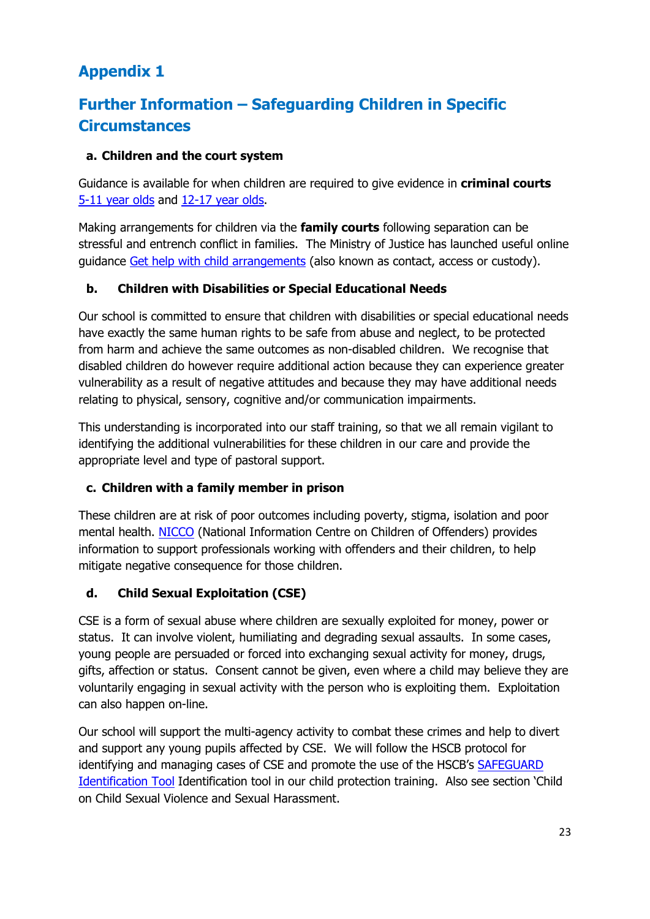# **Appendix 1**

# **Further Information – Safeguarding Children in Specific Circumstances**

## **a. Children and the court system**

Guidance is available for when children are required to give evidence in **criminal courts**  [5-11 year olds](https://www.gov.uk/government/publications/young-witness-booklet-for-5-to-11-year-olds) and [12-17 year olds.](https://www.gov.uk/government/publications/young-witness-booklet-for-12-to-17-year-olds)

Making arrangements for children via the **family courts** following separation can be stressful and entrench conflict in families. The Ministry of Justice has launched useful online guidance [Get help with child arrangements](https://helpwithchildarrangements.service.justice.gov.uk/) (also known as contact, access or custody).

## **b. Children with Disabilities or Special Educational Needs**

Our school is committed to ensure that children with disabilities or special educational needs have exactly the same human rights to be safe from abuse and neglect, to be protected from harm and achieve the same outcomes as non-disabled children. We recognise that disabled children do however require additional action because they can experience greater vulnerability as a result of negative attitudes and because they may have additional needs relating to physical, sensory, cognitive and/or communication impairments.

This understanding is incorporated into our staff training, so that we all remain vigilant to identifying the additional vulnerabilities for these children in our care and provide the appropriate level and type of pastoral support.

## **c. Children with a family member in prison**

These children are at risk of poor outcomes including poverty, stigma, isolation and poor mental health. [NICCO](https://www.nicco.org.uk/) (National Information Centre on Children of Offenders) provides information to support professionals working with offenders and their children, to help mitigate negative consequence for those children.

## **d. Child Sexual Exploitation (CSE)**

CSE is a form of sexual abuse where children are sexually exploited for money, power or status. It can involve violent, humiliating and degrading sexual assaults. In some cases, young people are persuaded or forced into exchanging sexual activity for money, drugs, gifts, affection or status. Consent cannot be given, even where a child may believe they are voluntarily engaging in sexual activity with the person who is exploiting them. Exploitation can also happen on-line.

Our school will support the multi-agency activity to combat these crimes and help to divert and support any young pupils affected by CSE. We will follow the HSCB protocol for identifying and managing cases of CSE and promote the use of the HSCB's [SAFEGUARD](http://www.harrowlscb.co.uk/wp-content/uploads/2015/05/S-A-F-E-G-U-A-R-D-cse-identification-tool.pdf)  [Identification Tool](http://www.harrowlscb.co.uk/wp-content/uploads/2015/05/S-A-F-E-G-U-A-R-D-cse-identification-tool.pdf) Identification tool in our child protection training. Also see section 'Child on Child Sexual Violence and Sexual Harassment.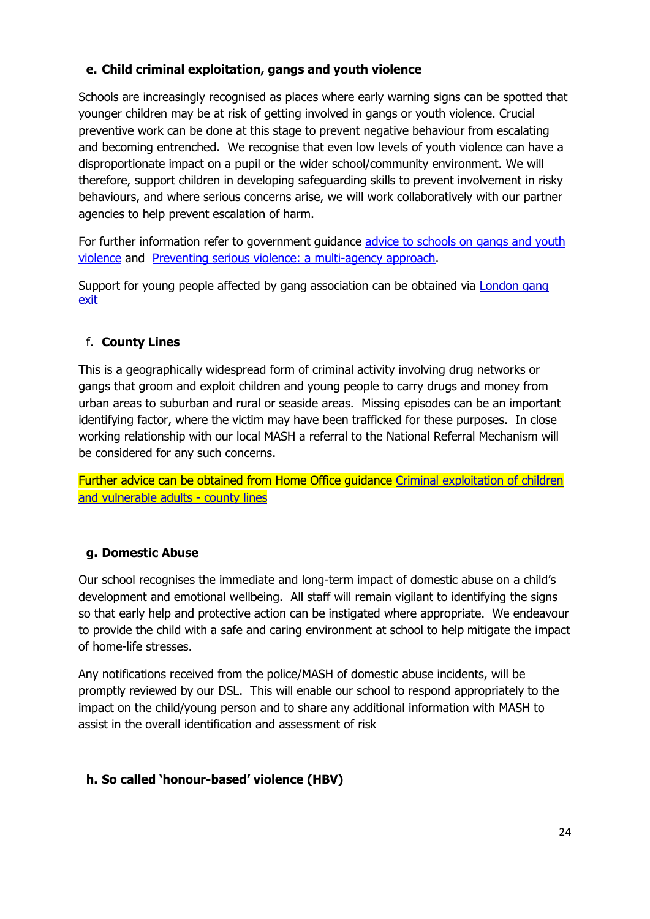## **e. Child criminal exploitation, gangs and youth violence**

Schools are increasingly recognised as places where early warning signs can be spotted that younger children may be at risk of getting involved in gangs or youth violence. Crucial preventive work can be done at this stage to prevent negative behaviour from escalating and becoming entrenched. We recognise that even low levels of youth violence can have a disproportionate impact on a pupil or the wider school/community environment. We will therefore, support children in developing safeguarding skills to prevent involvement in risky behaviours, and where serious concerns arise, we will work collaboratively with our partner agencies to help prevent escalation of harm.

For further information refer to government guidance advice to schools on gangs and youth [violence](https://www.gov.uk/government/publications/advice-to-schools-and-colleges-on-gangs-and-youth-violence) and [Preventing serious violence: a multi-agency approach.](https://www.gov.uk/government/publications/preventing-serious-violence-a-multi-agency-approach)

Support for young people affected by gang association can be obtained via [London gang](https://saferlondon.org.uk/services/london-gang-exit/)  [exit](https://saferlondon.org.uk/services/london-gang-exit/)

# f. **County Lines**

This is a geographically widespread form of criminal activity involving drug networks or gangs that groom and exploit children and young people to carry drugs and money from urban areas to suburban and rural or seaside areas. Missing episodes can be an important identifying factor, where the victim may have been trafficked for these purposes. In close working relationship with our local MASH a referral to the National Referral Mechanism will be considered for any such concerns.

Further advice can be obtained from Home Office guidance [Criminal exploitation of children](https://www.gov.uk/government/publications/criminal-exploitation-of-children-and-vulnerable-adults-county-lines)  [and vulnerable adults -](https://www.gov.uk/government/publications/criminal-exploitation-of-children-and-vulnerable-adults-county-lines) county lines

## **g. Domestic Abuse**

Our school recognises the immediate and long-term impact of domestic abuse on a child's development and emotional wellbeing. All staff will remain vigilant to identifying the signs so that early help and protective action can be instigated where appropriate. We endeavour to provide the child with a safe and caring environment at school to help mitigate the impact of home-life stresses.

Any notifications received from the police/MASH of domestic abuse incidents, will be promptly reviewed by our DSL. This will enable our school to respond appropriately to the impact on the child/young person and to share any additional information with MASH to assist in the overall identification and assessment of risk

## **h. So called 'honour-based' violence (HBV)**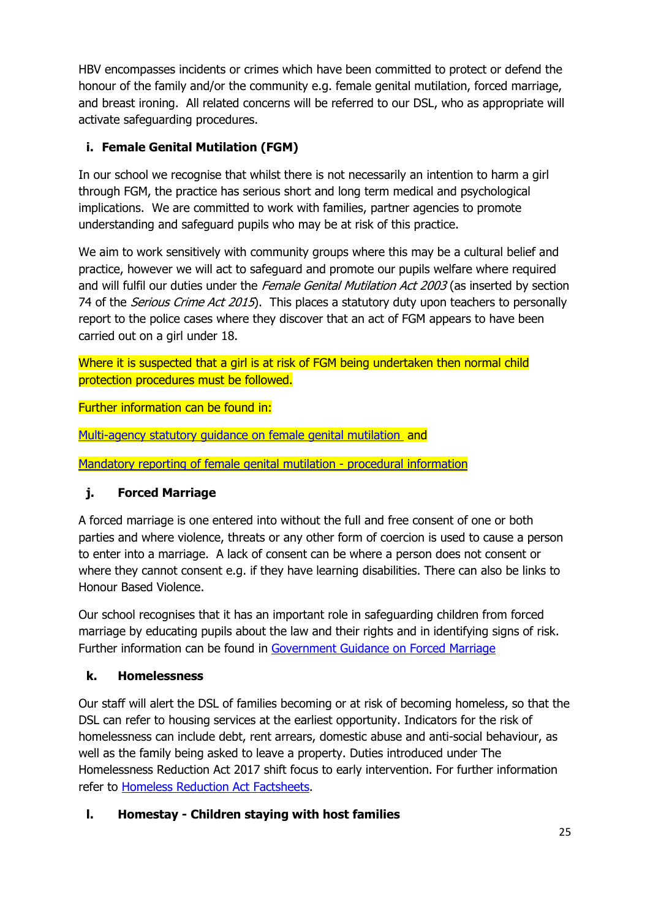HBV encompasses incidents or crimes which have been committed to protect or defend the honour of the family and/or the community e.g. female genital mutilation, forced marriage, and breast ironing. All related concerns will be referred to our DSL, who as appropriate will activate safeguarding procedures.

# **i. Female Genital Mutilation (FGM)**

In our school we recognise that whilst there is not necessarily an intention to harm a girl through FGM, the practice has serious short and long term medical and psychological implications. We are committed to work with families, partner agencies to promote understanding and safeguard pupils who may be at risk of this practice.

We aim to work sensitively with community groups where this may be a cultural belief and practice, however we will act to safeguard and promote our pupils welfare where required and will fulfil our duties under the Female Genital Mutilation Act 2003 (as inserted by section 74 of the *Serious Crime Act 2015*). This places a statutory duty upon teachers to personally report to the police cases where they discover that an act of FGM appears to have been carried out on a girl under 18.

Where it is suspected that a girl is at risk of FGM being undertaken then normal child protection procedures must be followed.

Further information can be found in:

[Multi-agency statutory guidance on female genital mutilation](https://www.gov.uk/government/publications/multi-agency-statutory-guidance-on-female-genital-mutilation) and

[Mandatory reporting of female genital mutilation -](https://www.gov.uk/government/publications/mandatory-reporting-of-female-genital-mutilation-procedural-information) procedural information

## **j. Forced Marriage**

A forced marriage is one entered into without the full and free consent of one or both parties and where violence, threats or any other form of coercion is used to cause a person to enter into a marriage. A lack of consent can be where a person does not consent or where they cannot consent e.g. if they have learning disabilities. There can also be links to Honour Based Violence.

Our school recognises that it has an important role in safeguarding children from forced marriage by educating pupils about the law and their rights and in identifying signs of risk. Further information can be found in [Government Guidance on Forced Marriage](https://www.gov.uk/guidance/forced-marriage)

## **k. Homelessness**

Our staff will alert the DSL of families becoming or at risk of becoming homeless, so that the DSL can refer to housing services at the earliest opportunity. Indicators for the risk of homelessness can include debt, rent arrears, domestic abuse and anti-social behaviour, as well as the family being asked to leave a property. Duties introduced under The Homelessness Reduction Act 2017 shift focus to early intervention. For further information refer to [Homeless Reduction Act Factsheets.](https://www.gov.uk/government/publications/homelessness-reduction-bill-policy-factsheets)

## **l. Homestay - Children staying with host families**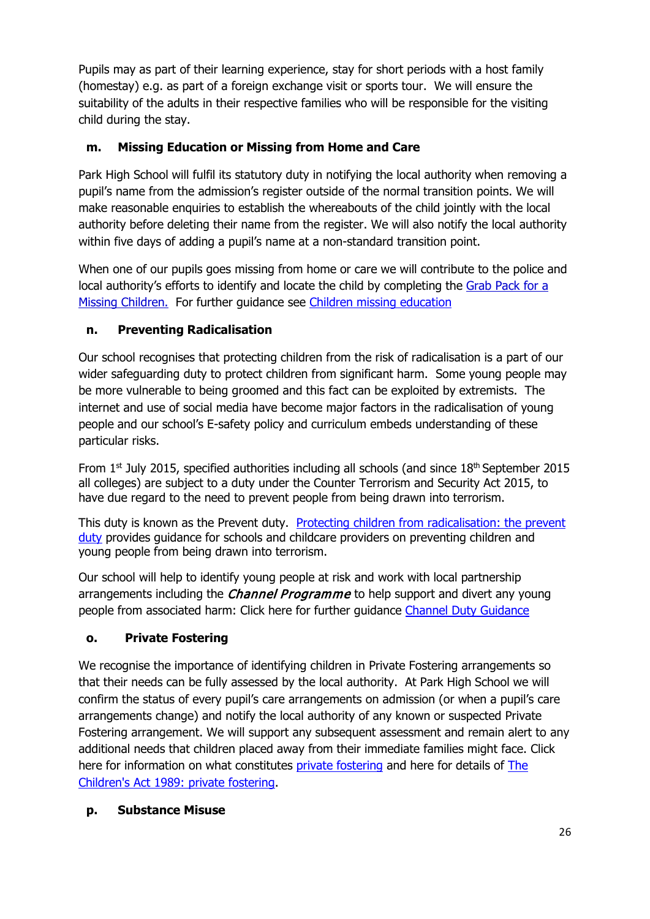Pupils may as part of their learning experience, stay for short periods with a host family (homestay) e.g. as part of a foreign exchange visit or sports tour. We will ensure the suitability of the adults in their respective families who will be responsible for the visiting child during the stay.

# **m. Missing Education or Missing from Home and Care**

Park High School will fulfil its statutory duty in notifying the local authority when removing a pupil's name from the admission's register outside of the normal transition points. We will make reasonable enquiries to establish the whereabouts of the child jointly with the local authority before deleting their name from the register. We will also notify the local authority within five days of adding a pupil's name at a non-standard transition point.

When one of our pupils goes missing from home or care we will contribute to the police and local authority's efforts to identify and locate the child by completing the [Grab Pack for a](http://www.harrowlscb.co.uk/wp-content/uploads/2015/06/GRAB-Pack-for-Missing-Children_Harrow-document.pdf)  [Missing Childr](http://www.harrowlscb.co.uk/wp-content/uploads/2015/06/GRAB-Pack-for-Missing-Children_Harrow-document.pdf)en. For further guidance see [Children missing education](https://www.gov.uk/government/publications/children-missing-education)

## **n. Preventing Radicalisation**

Our school recognises that protecting children from the risk of radicalisation is a part of our wider safeguarding duty to protect children from significant harm. Some young people may be more vulnerable to being groomed and this fact can be exploited by extremists. The internet and use of social media have become major factors in the radicalisation of young people and our school's E-safety policy and curriculum embeds understanding of these particular risks.

From  $1<sup>st</sup>$  July 2015, specified authorities including all schools (and since  $18<sup>th</sup>$  September 2015 all colleges) are subject to a duty under the Counter Terrorism and Security Act 2015, to have due regard to the need to prevent people from being drawn into terrorism.

This duty is known as the Prevent duty. [Protecting children from radicalisation: the prevent](https://www.gov.uk/government/publications/protecting-children-from-radicalisation-the-prevent-duty)  [duty](https://www.gov.uk/government/publications/protecting-children-from-radicalisation-the-prevent-duty) provides guidance for schools and childcare providers on preventing children and young people from being drawn into terrorism.

Our school will help to identify young people at risk and work with local partnership arrangements including the *Channel Programme* to help support and divert any young people from associated harm: Click here for further guidance [Channel Duty Guidance](https://www.gov.uk/government/uploads/system/uploads/attachment_data/file/425189/Channel_Duty_Guidance_April_2015.pdf)

## **o. Private Fostering**

We recognise the importance of identifying children in Private Fostering arrangements so that their needs can be fully assessed by the local authority. At Park High School we will confirm the status of every pupil's care arrangements on admission (or when a pupil's care arrangements change) and notify the local authority of any known or suspected Private Fostering arrangement. We will support any subsequent assessment and remain alert to any additional needs that children placed away from their immediate families might face. Click here for information on what constitutes [private fostering](http://www.harrow.gov.uk/download/downloads/id/6620/privtae_fostering_leaflet) and here for details of The [Children's Act 1989: private fostering.](https://www.gov.uk/government/publications/children-act-1989-private-fostering)

## **p. Substance Misuse**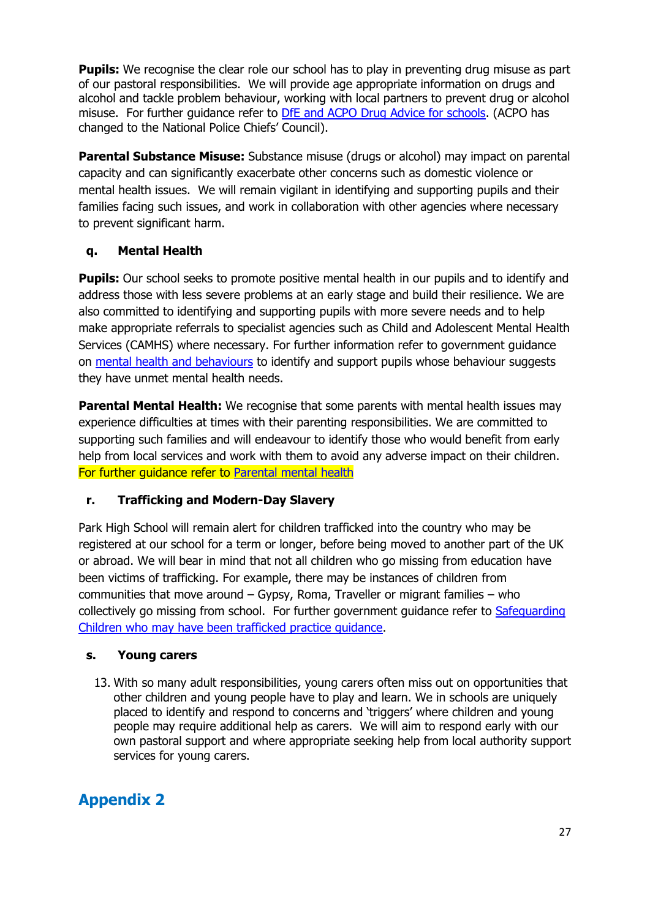**Pupils:** We recognise the clear role our school has to play in preventing drug misuse as part of our pastoral responsibilities. We will provide age appropriate information on drugs and alcohol and tackle problem behaviour, working with local partners to prevent drug or alcohol misuse. For further guidance refer to **DfE and ACPO Drug Advice for schools**. (ACPO has changed to the National Police Chiefs' Council).

**Parental Substance Misuse:** Substance misuse (drugs or alcohol) may impact on parental capacity and can significantly exacerbate other concerns such as domestic violence or mental health issues. We will remain vigilant in identifying and supporting pupils and their families facing such issues, and work in collaboration with other agencies where necessary to prevent significant harm.

## **q. Mental Health**

**Pupils:** Our school seeks to promote positive mental health in our pupils and to identify and address those with less severe problems at an early stage and build their resilience. We are also committed to identifying and supporting pupils with more severe needs and to help make appropriate referrals to specialist agencies such as Child and Adolescent Mental Health Services (CAMHS) where necessary. For further information refer to government guidance on [mental health and behaviours](https://www.gov.uk/government/publications/mental-health-and-behaviour-in-schools--2) to identify and support pupils whose behaviour suggests they have unmet mental health needs.

**Parental Mental Health:** We recognise that some parents with mental health issues may experience difficulties at times with their parenting responsibilities. We are committed to supporting such families and will endeavour to identify those who would benefit from early help from local services and work with them to avoid any adverse impact on their children. For further guidance refer to [Parental mental health](https://www.nspcc.org.uk/preventing-abuse/child-protection-system/parental-mental-health/)

## **r. Trafficking and Modern-Day Slavery**

Park High School will remain alert for children trafficked into the country who may be registered at our school for a term or longer, before being moved to another part of the UK or abroad. We will bear in mind that not all children who go missing from education have been victims of trafficking. For example, there may be instances of children from communities that move around – Gypsy, Roma, Traveller or migrant families – who collectively go missing from school. For further government guidance refer to [Safeguarding](https://www.gov.uk/government/publications/safeguarding-children-who-may-have-been-trafficked-practice-guidance)  [Children who may have been trafficked practice](https://www.gov.uk/government/publications/safeguarding-children-who-may-have-been-trafficked-practice-guidance) guidance.

## **s. Young carers**

13. With so many adult responsibilities, young carers often miss out on opportunities that other children and young people have to play and learn. We in schools are uniquely placed to identify and respond to concerns and 'triggers' where children and young people may require additional help as carers. We will aim to respond early with our own pastoral support and where appropriate seeking help from local authority support services for young carers.

# **Appendix 2**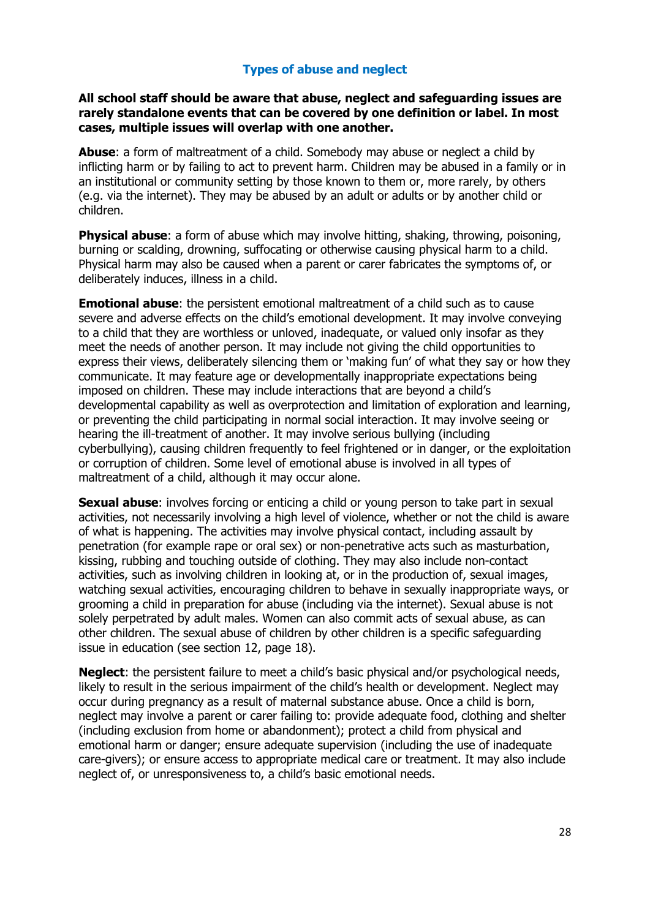## **Types of abuse and neglect**

#### **All school staff should be aware that abuse, neglect and safeguarding issues are rarely standalone events that can be covered by one definition or label. In most cases, multiple issues will overlap with one another.**

**Abuse**: a form of maltreatment of a child. Somebody may abuse or neglect a child by inflicting harm or by failing to act to prevent harm. Children may be abused in a family or in an institutional or community setting by those known to them or, more rarely, by others (e.g. via the internet). They may be abused by an adult or adults or by another child or children.

**Physical abuse:** a form of abuse which may involve hitting, shaking, throwing, poisoning, burning or scalding, drowning, suffocating or otherwise causing physical harm to a child. Physical harm may also be caused when a parent or carer fabricates the symptoms of, or deliberately induces, illness in a child.

**Emotional abuse**: the persistent emotional maltreatment of a child such as to cause severe and adverse effects on the child's emotional development. It may involve conveying to a child that they are worthless or unloved, inadequate, or valued only insofar as they meet the needs of another person. It may include not giving the child opportunities to express their views, deliberately silencing them or 'making fun' of what they say or how they communicate. It may feature age or developmentally inappropriate expectations being imposed on children. These may include interactions that are beyond a child's developmental capability as well as overprotection and limitation of exploration and learning, or preventing the child participating in normal social interaction. It may involve seeing or hearing the ill-treatment of another. It may involve serious bullying (including cyberbullying), causing children frequently to feel frightened or in danger, or the exploitation or corruption of children. Some level of emotional abuse is involved in all types of maltreatment of a child, although it may occur alone.

**Sexual abuse:** involves forcing or enticing a child or young person to take part in sexual activities, not necessarily involving a high level of violence, whether or not the child is aware of what is happening. The activities may involve physical contact, including assault by penetration (for example rape or oral sex) or non-penetrative acts such as masturbation, kissing, rubbing and touching outside of clothing. They may also include non-contact activities, such as involving children in looking at, or in the production of, sexual images, watching sexual activities, encouraging children to behave in sexually inappropriate ways, or grooming a child in preparation for abuse (including via the internet). Sexual abuse is not solely perpetrated by adult males. Women can also commit acts of sexual abuse, as can other children. The sexual abuse of children by other children is a specific safeguarding issue in education (see section 12, page 18).

**Neglect**: the persistent failure to meet a child's basic physical and/or psychological needs, likely to result in the serious impairment of the child's health or development. Neglect may occur during pregnancy as a result of maternal substance abuse. Once a child is born, neglect may involve a parent or carer failing to: provide adequate food, clothing and shelter (including exclusion from home or abandonment); protect a child from physical and emotional harm or danger; ensure adequate supervision (including the use of inadequate care-givers); or ensure access to appropriate medical care or treatment. It may also include neglect of, or unresponsiveness to, a child's basic emotional needs.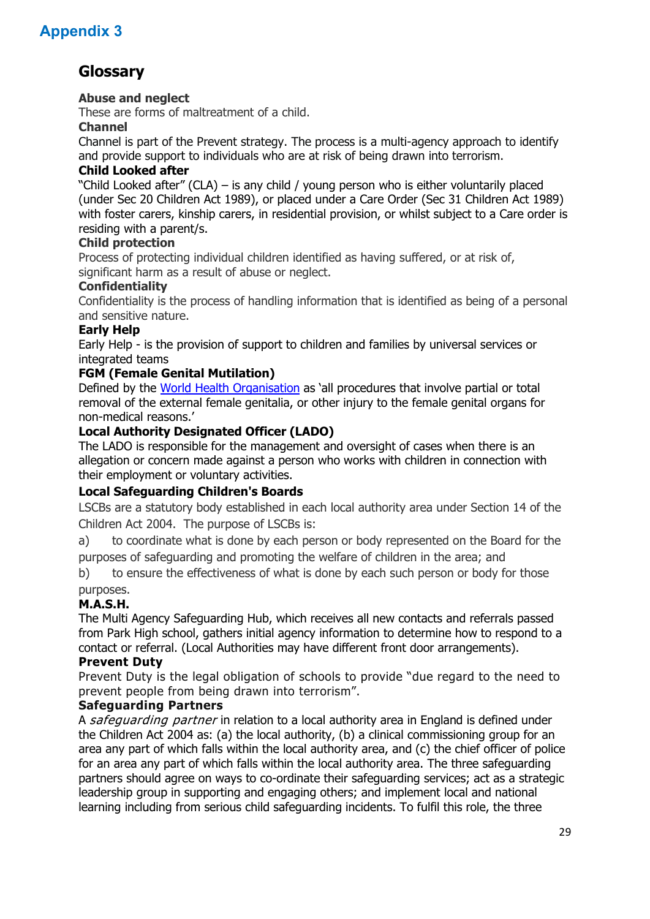# **Appendix 3**

# **Glossary**

## **Abuse and neglect**

These are forms of maltreatment of a child.

#### **Channel**

Channel is part of the Prevent strategy. The process is a multi-agency approach to identify and provide support to individuals who are at risk of being drawn into terrorism.

#### **Child Looked after**

"Child Looked after" (CLA) – is any child / young person who is either voluntarily placed (under Sec 20 Children Act 1989), or placed under a Care Order (Sec 31 Children Act 1989) with foster carers, kinship carers, in residential provision, or whilst subject to a Care order is residing with a parent/s.

#### **Child protection**

Process of protecting individual children identified as having suffered, or at risk of, significant harm as a result of abuse or neglect.

#### **Confidentiality**

Confidentiality is the process of handling information that is identified as being of a personal and sensitive nature.

#### **Early Help**

Early Help - is the provision of support to children and families by universal services or integrated teams

## **FGM (Female Genital Mutilation)**

Defined by the [World Health Organisation](http://www.who.int/en/) as 'all procedures that involve partial or total removal of the external female genitalia, or other injury to the female genital organs for non-medical reasons.'

#### **Local Authority Designated Officer (LADO)**

The LADO is responsible for the management and oversight of cases when there is an allegation or concern made against a person who works with children in connection with their employment or voluntary activities.

## **Local Safeguarding Children's Boards**

LSCBs are a statutory body established in each local authority area under Section 14 of the Children Act 2004. The purpose of LSCBs is:

a) to coordinate what is done by each person or body represented on the Board for the purposes of safeguarding and promoting the welfare of children in the area; and

b) to ensure the effectiveness of what is done by each such person or body for those purposes.

## **M.A.S.H.**

The Multi Agency Safeguarding Hub, which receives all new contacts and referrals passed from Park High school, gathers initial agency information to determine how to respond to a contact or referral. (Local Authorities may have different front door arrangements).

#### **[Prevent Duty](https://www.gov.uk/government/uploads/system/uploads/attachment_data/file/439598/prevent-duty-departmental-advice-v6.pdf)**

Prevent Duty is the legal obligation of schools to provide "due regard to the need to prevent people from being drawn into terrorism".

#### **Safeguarding Partners**

A safeguarding partner in relation to a local authority area in England is defined under the Children Act 2004 as: (a) the local authority, (b) a clinical commissioning group for an area any part of which falls within the local authority area, and (c) the chief officer of police for an area any part of which falls within the local authority area. The three safeguarding partners should agree on ways to co-ordinate their safeguarding services; act as a strategic leadership group in supporting and engaging others; and implement local and national learning including from serious child safeguarding incidents. To fulfil this role, the three